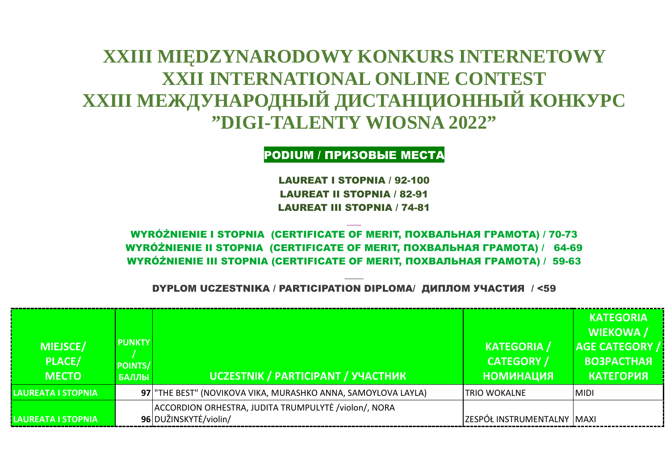## **XXIII MIĘDZYNARODOWY KONKURS INTERNETOWY XXII INTERNATIONAL ONLINE CONTEST XXIII МЕЖДУНАРОДНЫЙ ДИСТАНЦИОННЫЙ КОНКУРС "DIGI-TALENTY WIOSNA 2022"**

PODIUM / ПРИЗОВЫЕ МЕСТА

LAUREAT I STOPNIA / 92-100 LAUREAT II STOPNIA / 82-91 LAUREAT III STOPNIA / 74-81

 $\overline{\phantom{a}}$ 

WYRÓŻNIENIE I STOPNIA (СERTIFICATE OF MERIT, ПОХВАЛЬНАЯ ГРАМОТА) / 70-73 WYRÓŻNIENIE II STOPNIA (СERTIFICATE OF MERIT, ПОХВАЛЬНАЯ ГРАМОТА) / 64-69 WYRÓŻNIENIE III STOPNIA (СERTIFICATE OF MERIT, ПОХВАЛЬНАЯ ГРАМОТА) / 59-63

\_\_\_\_ DYPLOM UCZESTNIKA / PARTICIPATION DIPLOMA/ ДИПЛОМ УЧАСТИЯ / <59

| <b>MIEJSCE/</b><br><b>PLACE/</b><br><b>MECTO</b> | <b>PUNKTY</b><br><b>POINTS/</b><br><b>БАЛЛЫ</b> | UCZESTNIK / PARTICIPANT / УЧАСТНИК                                             | <b>KATEGORIA</b> /<br><b>CATEGORY /</b><br><b>КИДАНNМОН</b> | <b>KATEGORIA</b><br><b>WIEKOWA</b> /<br><b>AGE CATEGORY /</b><br><b>BO3PACTHAR</b><br><b>КАТЕГОРИЯ</b> |
|--------------------------------------------------|-------------------------------------------------|--------------------------------------------------------------------------------|-------------------------------------------------------------|--------------------------------------------------------------------------------------------------------|
| LAUREATA I STOPNIA                               |                                                 | 97 THE BEST" (NOVIKOVA VIKA, MURASHKO ANNA, SAMOYLOVA LAYLA)                   | ITRIO WOKALNE                                               | <b>MIDI</b>                                                                                            |
| LAUREATA I STOPNIA                               |                                                 | ACCORDION ORHESTRA, JUDITA TRUMPULYTĖ / violon/, NORA<br>96 DUŽINSKYTĖ/violin/ | ZESPÓŁ INSTRUMENTALNY MAXI                                  |                                                                                                        |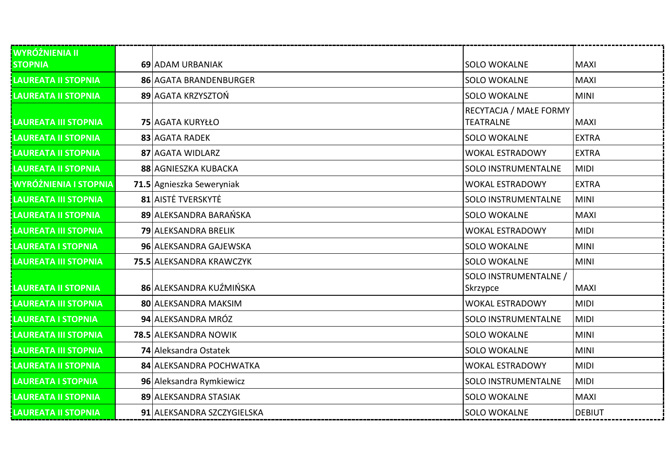| <b>WYRÓŻNIENIA II</b>        |                            |                                            |               |
|------------------------------|----------------------------|--------------------------------------------|---------------|
| <b>STOPNIA</b>               | 69 ADAM URBANIAK           | <b>SOLO WOKALNE</b>                        | <b>MAXI</b>   |
| <b>LAUREATA II STOPNIA</b>   | 86 AGATA BRANDENBURGER     | <b>SOLO WOKALNE</b>                        | <b>MAXI</b>   |
| <b>LAUREATA II STOPNIA</b>   | 89 AGATA KRZYSZTOŃ         | <b>SOLO WOKALNE</b>                        | <b>MINI</b>   |
| LAUREATA III STOPNIA         | 75 AGATA KURYŁŁO           | RECYTACJA / MAŁE FORMY<br><b>TEATRALNE</b> | <b>MAXI</b>   |
| <b>LAUREATA II STOPNIA</b>   | 83 AGATA RADEK             | <b>SOLO WOKALNE</b>                        | <b>EXTRA</b>  |
| <b>LAUREATA II STOPNIA</b>   | 87 AGATA WIDLARZ           | <b>WOKAL ESTRADOWY</b>                     | <b>EXTRA</b>  |
| <b>LAUREATA II STOPNIA</b>   | 88 AGNIESZKA KUBACKA       | <b>SOLO INSTRUMENTALNE</b>                 | <b>MIDI</b>   |
| <b>WYRÓŻNIENIA I STOPNIA</b> | 71.5 Agnieszka Seweryniak  | <b>WOKAL ESTRADOWY</b>                     | <b>EXTRA</b>  |
| <b>LAUREATA III STOPNIA</b>  | 81 AISTE TVERSKYTE         | <b>SOLO INSTRUMENTALNE</b>                 | <b>MINI</b>   |
| <b>LAUREATA II STOPNIA</b>   | 89 ALEKSANDRA BARAŃSKA     | <b>SOLO WOKALNE</b>                        | <b>MAXI</b>   |
| <b>LAUREATA III STOPNIA</b>  | 79 ALEKSANDRA BRELIK       | <b>WOKAL ESTRADOWY</b>                     | <b>MIDI</b>   |
| <b>LAUREATA I STOPNIA</b>    | 96 ALEKSANDRA GAJEWSKA     | <b>SOLO WOKALNE</b>                        | <b>MINI</b>   |
| <b>LAUREATA III STOPNIA</b>  | 75.5 ALEKSANDRA KRAWCZYK   | <b>SOLO WOKALNE</b>                        | <b>MINI</b>   |
| <b>LAUREATA II STOPNIA</b>   | 86 ALEKSANDRA KUŹMIŃSKA    | SOLO INSTRUMENTALNE /<br>Skrzypce          | <b>MAXI</b>   |
| <b>LAUREATA III STOPNIA</b>  | 80 ALEKSANDRA MAKSIM       | <b>WOKAL ESTRADOWY</b>                     | <b>MIDI</b>   |
| <b>LAUREATA I STOPNIA</b>    | 94 ALEKSANDRA MRÓZ         | <b>SOLO INSTRUMENTALNE</b>                 | <b>MIDI</b>   |
| <b>LAUREATA III STOPNIA</b>  | 78.5 ALEKSANDRA NOWIK      | <b>SOLO WOKALNE</b>                        | <b>MINI</b>   |
| <b>LAUREATA III STOPNIA</b>  | 74 Aleksandra Ostatek      | <b>SOLO WOKALNE</b>                        | <b>MINI</b>   |
| <b>LAUREATA II STOPNIA</b>   | 84 ALEKSANDRA POCHWATKA    | <b>WOKAL ESTRADOWY</b>                     | <b>MIDI</b>   |
| LAUREATA I STOPNIA           | 96 Aleksandra Rymkiewicz   | <b>SOLO INSTRUMENTALNE</b>                 | <b>MIDI</b>   |
| <b>LAUREATA II STOPNIA</b>   | 89 ALEKSANDRA STASIAK      | <b>SOLO WOKALNE</b>                        | <b>MAXI</b>   |
| <b>LAUREATA II STOPNIA</b>   | 91 ALEKSANDRA SZCZYGIELSKA | <b>SOLO WOKALNE</b>                        | <b>DEBIUT</b> |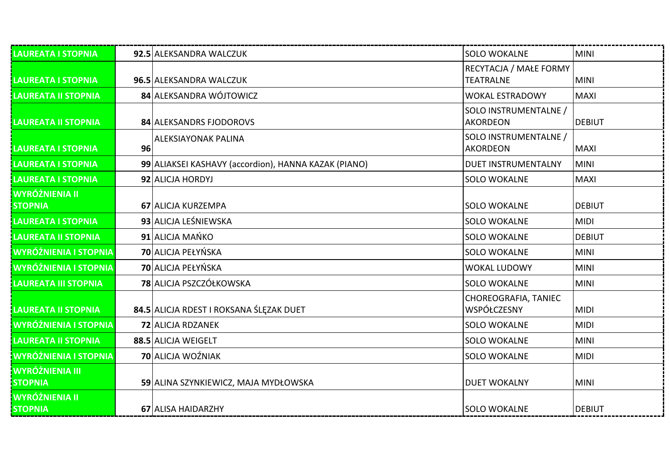| LAUREATA I STOPNIA                       |    | 92.5 ALEKSANDRA WALCZUK                              | <b>SOLO WOKALNE</b>                        | <b>MINI</b>   |
|------------------------------------------|----|------------------------------------------------------|--------------------------------------------|---------------|
| <b>LAUREATA I STOPNIA</b>                |    | 96.5 ALEKSANDRA WALCZUK                              | RECYTACJA / MAŁE FORMY<br><b>TEATRALNE</b> | <b>MINI</b>   |
| LAUREATA II STOPNIA                      |    | 84 ALEKSANDRA WÓJTOWICZ                              | <b>WOKAL ESTRADOWY</b>                     | <b>MAXI</b>   |
| LAUREATA II STOPNIA                      |    | 84 ALEKSANDRS FJODOROVS                              | SOLO INSTRUMENTALNE /<br><b>AKORDEON</b>   | DEBIUT        |
| LAUREATA I STOPNIA                       | 96 | <b>ALEKSIAYONAK PALINA</b>                           | SOLO INSTRUMENTALNE /<br><b>AKORDEON</b>   | <b>MAXI</b>   |
| LAUREATA I STOPNIA                       |    | 99 ALIAKSEI KASHAVY (accordion), HANNA KAZAK (PIANO) | <b>DUET INSTRUMENTALNY</b>                 | <b>MINI</b>   |
| LAUREATA I STOPNIA                       |    | 92 ALICJA HORDYJ                                     | <b>SOLO WOKALNE</b>                        | <b>MAXI</b>   |
| WYRÓŻNIENIA II<br><b>STOPNIA</b>         |    | 67 ALICJA KURZEMPA                                   | <b>SOLO WOKALNE</b>                        | <b>DEBIUT</b> |
| LAUREATA I STOPNIA                       |    | 93 ALICJA LEŚNIEWSKA                                 | <b>SOLO WOKALNE</b>                        | <b>MIDI</b>   |
| LAUREATA II STOPNIA                      |    | 91 ALICJA MAŃKO                                      | <b>SOLO WOKALNE</b>                        | <b>DEBIUT</b> |
| <b>WYRÓŻNIENIA I STOPNIA</b>             |    | 70 ALICJA PEŁYŃSKA                                   | <b>SOLO WOKALNE</b>                        | <b>MINI</b>   |
| <b>IWYRÓŻNIENIA I STOPNIA</b>            |    | 70 ALICJA PEŁYŃSKA                                   | <b>WOKAL LUDOWY</b>                        | <b>MINI</b>   |
| <b>LAUREATA III STOPNIA</b>              |    | 78 ALICJA PSZCZÓŁKOWSKA                              | <b>SOLO WOKALNE</b>                        | <b>MINI</b>   |
| LAUREATA II STOPNIA                      |    | 84.5 ALICJA RDEST I ROKSANA ŚLĘZAK DUET              | CHOREOGRAFIA, TANIEC<br>WSPÓŁCZESNY        | <b>MIDI</b>   |
| <b>I WYRÓŻNIENIA I STOPNIA</b>           |    | <b>72 ALICJA RDZANEK</b>                             | <b>SOLO WOKALNE</b>                        | <b>MIDI</b>   |
| <b>LAUREATA II STOPNIA</b>               |    | 88.5 ALICJA WEIGELT                                  | <b>SOLO WOKALNE</b>                        | <b>MINI</b>   |
| <b>WYRÓŻNIENIA I STOPNIA</b>             |    | <b>70</b> ALICJA WOŹNIAK                             | <b>SOLO WOKALNE</b>                        | <b>MIDI</b>   |
| <b>WYRÓŻNIENIA III</b><br><b>STOPNIA</b> |    | 59 ALINA SZYNKIEWICZ, MAJA MYDŁOWSKA                 | <b>DUET WOKALNY</b>                        | <b>MINI</b>   |
| WYRÓŻNIENIA II<br><b>STOPNIA</b>         |    | 67 ALISA HAIDARZHY                                   | <b>SOLO WOKALNE</b>                        | DEBIUT        |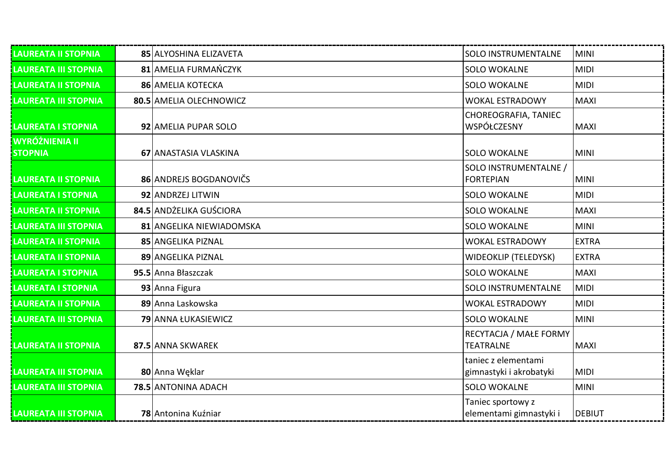| <b>LAUREATA II STOPNIA</b>              | 85 ALYOSHINA ELIZAVETA   | <b>SOLO INSTRUMENTALNE</b>                     | <b>MINI</b>   |
|-----------------------------------------|--------------------------|------------------------------------------------|---------------|
| <b>LAUREATA III STOPNIA</b>             | 81 AMELIA FURMAŃCZYK     | <b>SOLO WOKALNE</b>                            | <b>MIDI</b>   |
| <b>LAUREATA II STOPNIA</b>              | 86   AMELIA KOTECKA      | <b>SOLO WOKALNE</b>                            | <b>MIDI</b>   |
| <b>LAUREATA III STOPNIA</b>             | 80.5 AMELIA OLECHNOWICZ  | <b>WOKAL ESTRADOWY</b>                         | <b>MAXI</b>   |
| <b>LAUREATA I STOPNIA</b>               | 92 AMELIA PUPAR SOLO     | CHOREOGRAFIA, TANIEC<br>WSPÓŁCZESNY            | <b>MAXI</b>   |
| <b>WYRÓŻNIENIA II</b><br><b>STOPNIA</b> | 67 ANASTASIA VLASKINA    | <b>SOLO WOKALNE</b>                            | <b>MINI</b>   |
| <b>LAUREATA II STOPNIA</b>              | 86 ANDREJS BOGDANOVIČS   | SOLO INSTRUMENTALNE /<br><b>FORTEPIAN</b>      | <b>MINI</b>   |
| <b>LAUREATA I STOPNIA</b>               | 92 ANDRZEJ LITWIN        | <b>SOLO WOKALNE</b>                            | <b>MIDI</b>   |
| <b>LAUREATA II STOPNIA</b>              | 84.5 ANDŻELIKA GUŚCIORA  | <b>SOLO WOKALNE</b>                            | <b>MAXI</b>   |
| <b>LAUREATA III STOPNIA</b>             | 81 ANGELIKA NIEWIADOMSKA | <b>SOLO WOKALNE</b>                            | <b>MINI</b>   |
| <b>LAUREATA II STOPNIA</b>              | 85 ANGELIKA PIZNAL       | <b>WOKAL ESTRADOWY</b>                         | <b>EXTRA</b>  |
| <b>LAUREATA II STOPNIA</b>              | 89 ANGELIKA PIZNAL       | <b>WIDEOKLIP (TELEDYSK)</b>                    | <b>EXTRA</b>  |
| <b>LAUREATA I STOPNIA</b>               | 95.5 Anna Błaszczak      | <b>SOLO WOKALNE</b>                            | <b>MAXI</b>   |
| <b>LAUREATA I STOPNIA</b>               | 93 Anna Figura           | <b>SOLO INSTRUMENTALNE</b>                     | <b>MIDI</b>   |
| <b>LAUREATA II STOPNIA</b>              | 89 Anna Laskowska        | <b>WOKAL ESTRADOWY</b>                         | <b>MIDI</b>   |
| <b>LAUREATA III STOPNIA</b>             | 79 ANNA ŁUKASIEWICZ      | <b>SOLO WOKALNE</b>                            | <b>MINI</b>   |
| <b>LAUREATA II STOPNIA</b>              | 87.5 ANNA SKWAREK        | RECYTACJA / MAŁE FORMY<br><b>TEATRALNE</b>     | <b>MAXI</b>   |
| <b>LAUREATA III STOPNIA</b>             | 80 Anna Węklar           | taniec z elementami<br>gimnastyki i akrobatyki | <b>MIDI</b>   |
| <b>LAUREATA III STOPNIA</b>             | 78.5 ANTONINA ADACH      | <b>SOLO WOKALNE</b>                            | <b>MINI</b>   |
| <b>LAUREATA III STOPNIA</b>             | 78 Antonina Kuźniar      | Taniec sportowy z<br>elementami gimnastyki i   | <b>DEBIUT</b> |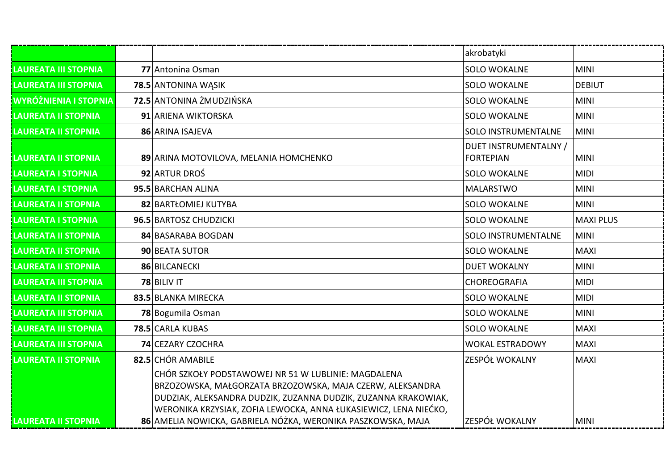|                              |                                                                                                                                                                                                                                                                                                                        | akrobatyki                                |                  |
|------------------------------|------------------------------------------------------------------------------------------------------------------------------------------------------------------------------------------------------------------------------------------------------------------------------------------------------------------------|-------------------------------------------|------------------|
| <b>LAUREATA III STOPNIA</b>  | 77 Antonina Osman                                                                                                                                                                                                                                                                                                      | <b>SOLO WOKALNE</b>                       | <b>MINI</b>      |
| <b>LAUREATA III STOPNIA</b>  | 78.5 ANTONINA WASIK                                                                                                                                                                                                                                                                                                    | <b>SOLO WOKALNE</b>                       | <b>DEBIUT</b>    |
| <b>WYRÓŻNIENIA I STOPNIA</b> | 72.5 ANTONINA ŻMUDZIŃSKA                                                                                                                                                                                                                                                                                               | <b>SOLO WOKALNE</b>                       | <b>MINI</b>      |
| <b>LAUREATA II STOPNIA</b>   | 91 ARIENA WIKTORSKA                                                                                                                                                                                                                                                                                                    | <b>SOLO WOKALNE</b>                       | <b>MINI</b>      |
| <b>LAUREATA II STOPNIA</b>   | 86 ARINA ISAJEVA                                                                                                                                                                                                                                                                                                       | <b>SOLO INSTRUMENTALNE</b>                | <b>MINI</b>      |
| <b>LAUREATA II STOPNIA</b>   | 89 ARINA MOTOVILOVA, MELANIA HOMCHENKO                                                                                                                                                                                                                                                                                 | DUET INSTRUMENTALNY /<br><b>FORTEPIAN</b> | <b>MINI</b>      |
| <b>LAUREATA I STOPNIA</b>    | 92 ARTUR DROŚ                                                                                                                                                                                                                                                                                                          | <b>SOLO WOKALNE</b>                       | <b>MIDI</b>      |
| <b>LAUREATA I STOPNIA</b>    | 95.5 BARCHAN ALINA                                                                                                                                                                                                                                                                                                     | <b>MALARSTWO</b>                          | <b>MINI</b>      |
| <b>LAUREATA II STOPNIA</b>   | 82 BARTŁOMIEJ KUTYBA                                                                                                                                                                                                                                                                                                   | <b>SOLO WOKALNE</b>                       | <b>MINI</b>      |
| LAUREATA I STOPNIA           | 96.5 BARTOSZ CHUDZICKI                                                                                                                                                                                                                                                                                                 | <b>SOLO WOKALNE</b>                       | <b>MAXI PLUS</b> |
| <b>LAUREATA II STOPNIA</b>   | 84 BASARABA BOGDAN                                                                                                                                                                                                                                                                                                     | <b>SOLO INSTRUMENTALNE</b>                | <b>MINI</b>      |
| <b>LAUREATA II STOPNIA</b>   | 90 BEATA SUTOR                                                                                                                                                                                                                                                                                                         | <b>SOLO WOKALNE</b>                       | <b>MAXI</b>      |
| <b>LAUREATA II STOPNIA</b>   | 86 BILCANECKI                                                                                                                                                                                                                                                                                                          | <b>DUET WOKALNY</b>                       | <b>MINI</b>      |
| <b>LAUREATA III STOPNIA</b>  | 78 BILIV IT                                                                                                                                                                                                                                                                                                            | <b>CHOREOGRAFIA</b>                       | <b>MIDI</b>      |
| <b>LAUREATA II STOPNIA</b>   | 83.5 BLANKA MIRECKA                                                                                                                                                                                                                                                                                                    | <b>SOLO WOKALNE</b>                       | <b>MIDI</b>      |
| <b>LAUREATA III STOPNIA</b>  | 78 Bogumila Osman                                                                                                                                                                                                                                                                                                      | <b>SOLO WOKALNE</b>                       | <b>MINI</b>      |
| LAUREATA III STOPNIA         | 78.5 CARLA KUBAS                                                                                                                                                                                                                                                                                                       | <b>SOLO WOKALNE</b>                       | <b>MAXI</b>      |
| <b>LAUREATA III STOPNIA</b>  | <b>74 CEZARY CZOCHRA</b>                                                                                                                                                                                                                                                                                               | <b>WOKAL ESTRADOWY</b>                    | <b>MAXI</b>      |
| <b>LAUREATA II STOPNIA</b>   | 82.5 CHÓR AMABILE                                                                                                                                                                                                                                                                                                      | ZESPÓŁ WOKALNY                            | <b>MAXI</b>      |
| <b>LAUREATA II STOPNIA</b>   | CHÓR SZKOŁY PODSTAWOWEJ NR 51 W LUBLINIE: MAGDALENA<br>BRZOZOWSKA, MAŁGORZATA BRZOZOWSKA, MAJA CZERW, ALEKSANDRA<br>DUDZIAK, ALEKSANDRA DUDZIK, ZUZANNA DUDZIK, ZUZANNA KRAKOWIAK,<br>WERONIKA KRZYSIAK, ZOFIA LEWOCKA, ANNA ŁUKASIEWICZ, LENA NIEĆKO,<br>86 AMELIA NOWICKA, GABRIELA NÓŻKA, WERONIKA PASZKOWSKA, MAJA | ZESPÓŁ WOKALNY                            | <b>MINI</b>      |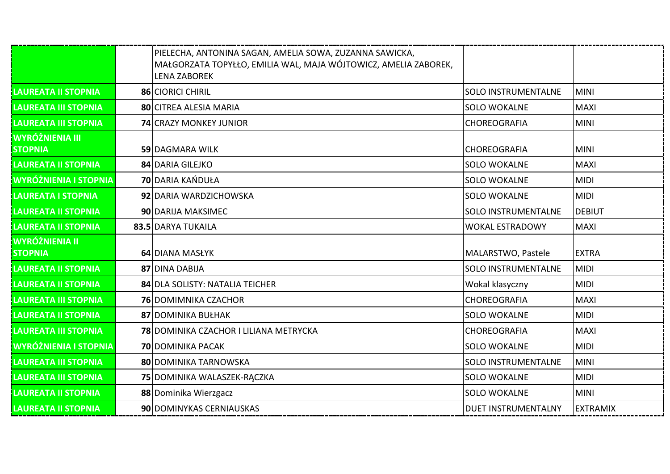|                                          | PIELECHA, ANTONINA SAGAN, AMELIA SOWA, ZUZANNA SAWICKA,<br>MAŁGORZATA TOPYŁŁO, EMILIA WAL, MAJA WÓJTOWICZ, AMELIA ZABOREK,<br><b>LENA ZABOREK</b> |                            |                 |
|------------------------------------------|---------------------------------------------------------------------------------------------------------------------------------------------------|----------------------------|-----------------|
| <b>LAUREATA II STOPNIA</b>               | 86 CIORICI CHIRIL                                                                                                                                 | <b>SOLO INSTRUMENTALNE</b> | <b>MINI</b>     |
| <b>LAUREATA III STOPNIA</b>              | <b>80 CITREA ALESIA MARIA</b>                                                                                                                     | <b>SOLO WOKALNE</b>        | <b>MAXI</b>     |
| <b>LAUREATA III STOPNIA</b>              | <b>74 CRAZY MONKEY JUNIOR</b>                                                                                                                     | <b>CHOREOGRAFIA</b>        | <b>MINI</b>     |
| <b>WYRÓŻNIENIA III</b><br><b>STOPNIA</b> | 59 DAGMARA WILK                                                                                                                                   | <b>CHOREOGRAFIA</b>        | <b>MINI</b>     |
| <b>LAUREATA II STOPNIA</b>               | 84 DARIA GILEJKO                                                                                                                                  | <b>SOLO WOKALNE</b>        | <b>MAXI</b>     |
| <b>WYRÓŻNIENIA I STOPNIA</b>             | <b>70 DARIA KAŃDUŁA</b>                                                                                                                           | <b>SOLO WOKALNE</b>        | <b>MIDI</b>     |
| <b>LAUREATA I STOPNIA</b>                | 92 DARIA WARDZICHOWSKA                                                                                                                            | <b>SOLO WOKALNE</b>        | <b>MIDI</b>     |
| <b>LAUREATA II STOPNIA</b>               | 90 DARIJA MAKSIMEC                                                                                                                                | <b>SOLO INSTRUMENTALNE</b> | DEBIUT          |
| <b>LAUREATA II STOPNIA</b>               | 83.5 DARYA TUKAILA                                                                                                                                | <b>WOKAL ESTRADOWY</b>     | <b>MAXI</b>     |
| <b>WYRÓŻNIENIA II</b><br><b>STOPNIA</b>  | 64 DIANA MASŁYK                                                                                                                                   | MALARSTWO, Pastele         | <b>EXTRA</b>    |
| <b>LAUREATA II STOPNIA</b>               | 87 DINA DABIJA                                                                                                                                    | SOLO INSTRUMENTALNE        | <b>MIDI</b>     |
| <b>LAUREATA II STOPNIA</b>               | 84 DLA SOLISTY: NATALIA TEICHER                                                                                                                   | Wokal klasyczny            | <b>MIDI</b>     |
| <b>LAUREATA III STOPNIA</b>              | <b>76 DOMIMNIKA CZACHOR</b>                                                                                                                       | <b>CHOREOGRAFIA</b>        | <b>MAXI</b>     |
| <b>LAUREATA II STOPNIA</b>               | 87 DOMINIKA BUŁHAK                                                                                                                                | <b>SOLO WOKALNE</b>        | <b>MIDI</b>     |
| <b>LAUREATA III STOPNIA</b>              | 78 DOMINIKA CZACHOR I LILIANA METRYCKA                                                                                                            | <b>CHOREOGRAFIA</b>        | <b>MAXI</b>     |
| <b>WYRÓŻNIENIA I STOPNIA</b>             | <b>70 DOMINIKA PACAK</b>                                                                                                                          | <b>SOLO WOKALNE</b>        | <b>MIDI</b>     |
| <b>LAUREATA III STOPNIA</b>              | 80 DOMINIKA TARNOWSKA                                                                                                                             | <b>SOLO INSTRUMENTALNE</b> | <b>MINI</b>     |
| <b>LAUREATA III STOPNIA</b>              | 75 DOMINIKA WALASZEK-RĄCZKA                                                                                                                       | <b>SOLO WOKALNE</b>        | <b>MIDI</b>     |
| <b>LAUREATA II STOPNIA</b>               | 88 Dominika Wierzgacz                                                                                                                             | <b>SOLO WOKALNE</b>        | <b>MINI</b>     |
| <b>LAUREATA II STOPNIA</b>               | 90 DOMINYKAS CERNIAUSKAS                                                                                                                          | <b>DUET INSTRUMENTALNY</b> | <b>EXTRAMIX</b> |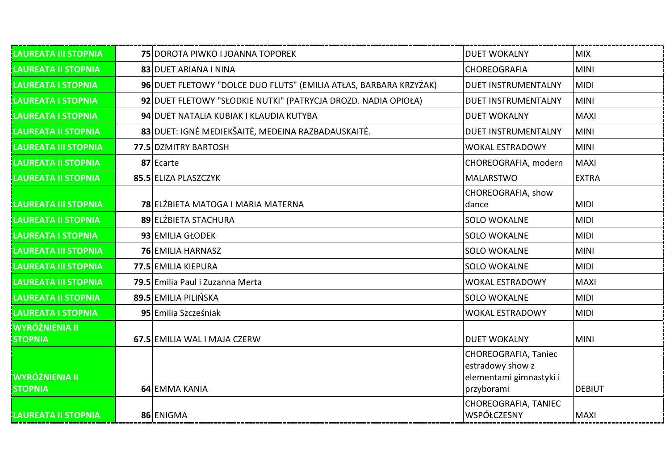| <b>LAUREATA III STOPNIA</b>             | 75 DOROTA PIWKO I JOANNA TOPOREK                                  | <b>DUET WOKALNY</b>         | <b>MIX</b>    |
|-----------------------------------------|-------------------------------------------------------------------|-----------------------------|---------------|
| <b>LAUREATA II STOPNIA</b>              | 83 DUET ARIANA I NINA                                             | CHOREOGRAFIA                | <b>MINI</b>   |
| <b>LAUREATA I STOPNIA</b>               | 96 DUET FLETOWY "DOLCE DUO FLUTS" (EMILIA ATŁAS, BARBARA KRZYŻAK) | <b>DUET INSTRUMENTALNY</b>  | <b>MIDI</b>   |
| <b>LAUREATA I STOPNIA</b>               | 92 DUET FLETOWY "SŁODKIE NUTKI" (PATRYCJA DROZD. NADIA OPIOŁA)    | <b>DUET INSTRUMENTALNY</b>  | <b>MINI</b>   |
| <b>LAUREATA I STOPNIA</b>               | 94 DUET NATALIA KUBIAK I KLAUDIA KUTYBA                           | <b>DUET WOKALNY</b>         | <b>MAXI</b>   |
| <b>LAUREATA II STOPNIA</b>              | 83 DUET: IGNĖ MEDIEKŠAITĖ, MEDEINA RAZBADAUSKAITĖ.                | <b>DUET INSTRUMENTALNY</b>  | <b>MINI</b>   |
| <b>LAUREATA III STOPNIA</b>             | 77.5 DZMITRY BARTOSH                                              | <b>WOKAL ESTRADOWY</b>      | <b>MINI</b>   |
| LAUREATA II STOPNIA                     | 87 Ecarte                                                         | CHOREOGRAFIA, modern        | <b>MAXI</b>   |
| <b>LAUREATA II STOPNIA</b>              | 85.5 ELIZA PLASZCZYK                                              | <b>MALARSTWO</b>            | <b>EXTRA</b>  |
| <b>LAUREATA III STOPNIA</b>             | 78 ELŻBIETA MATOGA I MARIA MATERNA                                | CHOREOGRAFIA, show<br>dance | <b>MIDI</b>   |
| <b>LAUREATA II STOPNIA</b>              | 89 ELŻBIETA STACHURA                                              | <b>SOLO WOKALNE</b>         | <b>MIDI</b>   |
| <b>LAUREATA I STOPNIA</b>               | 93 EMILIA GŁODEK                                                  | <b>SOLO WOKALNE</b>         | <b>MIDI</b>   |
| <b>LAUREATA III STOPNIA</b>             | <b>76 EMILIA HARNASZ</b>                                          | <b>SOLO WOKALNE</b>         | <b>MINI</b>   |
| <b>LAUREATA III STOPNIA</b>             | 77.5 EMILIA KIEPURA                                               | <b>SOLO WOKALNE</b>         | <b>MIDI</b>   |
| <b>LAUREATA III STOPNIA</b>             | 79.5 Emilia Paul i Zuzanna Merta                                  | <b>WOKAL ESTRADOWY</b>      | <b>MAXI</b>   |
| LAUREATA II STOPNIA                     | 89.5 EMILIA PILIŃSKA                                              | <b>SOLO WOKALNE</b>         | <b>MIDI</b>   |
| LAUREATA I STOPNIA                      | 95 Emilia Szcześniak                                              | <b>WOKAL ESTRADOWY</b>      | <b>MIDI</b>   |
| <b>WYRÓŻNIENIA II</b><br><b>STOPNIA</b> | 67.5 EMILIA WAL I MAJA CZERW                                      | <b>DUET WOKALNY</b>         | <b>MINI</b>   |
|                                         |                                                                   | CHOREOGRAFIA, Taniec        |               |
|                                         |                                                                   | estradowy show z            |               |
| <b>WYRÓŻNIENIA II</b>                   |                                                                   | elementami gimnastyki i     |               |
| <b>STOPNIA</b>                          | 64 EMMA KANIA                                                     | przyborami                  | <b>DEBIUT</b> |
|                                         |                                                                   | CHOREOGRAFIA, TANIEC        |               |
| <b>LAUREATA II STOPNIA</b>              | 86 ENIGMA                                                         | <b>WSPÓŁCZESNY</b>          | <b>MAXI</b>   |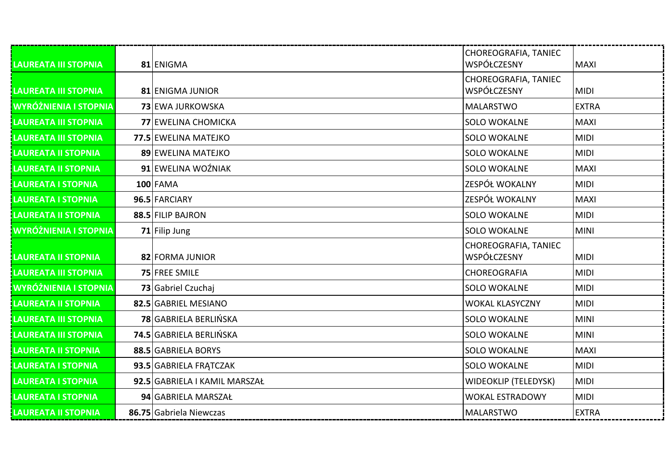| <b>LAUREATA III STOPNIA</b>  | 81 ENIGMA                     | CHOREOGRAFIA, TANIEC<br>WSPÓŁCZESNY | <b>MAXI</b>  |
|------------------------------|-------------------------------|-------------------------------------|--------------|
| LAUREATA III STOPNIA         | 81 ENIGMA JUNIOR              | CHOREOGRAFIA, TANIEC<br>WSPÓŁCZESNY | <b>MIDI</b>  |
| <b>WYRÓŻNIENIA I STOPNIA</b> | 73 EWA JURKOWSKA              | <b>MALARSTWO</b>                    | <b>EXTRA</b> |
| <b>LAUREATA III STOPNIA</b>  | 77 EWELINA CHOMICKA           | <b>SOLO WOKALNE</b>                 | <b>MAXI</b>  |
| LAUREATA III STOPNIA         | 77.5 EWELINA MATEJKO          | <b>SOLO WOKALNE</b>                 | <b>MIDI</b>  |
| <b>LAUREATA II STOPNIA</b>   | 89 EWELINA MATEJKO            | <b>SOLO WOKALNE</b>                 | <b>MIDI</b>  |
| <b>LAUREATA II STOPNIA</b>   | 91 EWELINA WOŹNIAK            | <b>SOLO WOKALNE</b>                 | <b>MAXI</b>  |
| <b>LAUREATA I STOPNIA</b>    | $100$ FAMA                    | ZESPÓŁ WOKALNY                      | <b>MIDI</b>  |
| <b>LAUREATA I STOPNIA</b>    | 96.5 FARCIARY                 | ZESPÓŁ WOKALNY                      | <b>MAXI</b>  |
| <b>LAUREATA II STOPNIA</b>   | 88.5 FILIP BAJRON             | <b>SOLO WOKALNE</b>                 | <b>MIDI</b>  |
| <b>WYRÓŻNIENIA I STOPNIA</b> | 71 Filip Jung                 | <b>SOLO WOKALNE</b>                 | <b>MINI</b>  |
| <b>LAUREATA II STOPNIA</b>   | 82 FORMA JUNIOR               | CHOREOGRAFIA, TANIEC<br>WSPÓŁCZESNY | <b>MIDI</b>  |
| <b>LAUREATA III STOPNIA</b>  | 75 FREE SMILE                 | CHOREOGRAFIA                        | <b>MIDI</b>  |
| <b>WYRÓŻNIENIA I STOPNIA</b> | 73 Gabriel Czuchaj            | <b>SOLO WOKALNE</b>                 | <b>MIDI</b>  |
| <b>LAUREATA II STOPNIA</b>   | 82.5 GABRIEL MESIANO          | <b>WOKAL KLASYCZNY</b>              | <b>MIDI</b>  |
| <b>LAUREATA III STOPNIA</b>  | 78 GABRIELA BERLIŃSKA         | <b>SOLO WOKALNE</b>                 | <b>MINI</b>  |
| <b>LAUREATA III STOPNIA</b>  | 74.5 GABRIELA BERLIŃSKA       | <b>SOLO WOKALNE</b>                 | <b>MINI</b>  |
| <b>LAUREATA II STOPNIA</b>   | 88.5 GABRIELA BORYS           | <b>SOLO WOKALNE</b>                 | <b>MAXI</b>  |
| <b>LAUREATA I STOPNIA</b>    | 93.5 GABRIELA FRATCZAK        | <b>SOLO WOKALNE</b>                 | <b>MIDI</b>  |
| <b>LAUREATA I STOPNIA</b>    | 92.5 GABRIELA I KAMIL MARSZAŁ | <b>WIDEOKLIP (TELEDYSK)</b>         | <b>MIDI</b>  |
| <b>LAUREATA I STOPNIA</b>    | 94 GABRIELA MARSZAŁ           | <b>WOKAL ESTRADOWY</b>              | <b>MIDI</b>  |
| <b>LAUREATA II STOPNIA</b>   | 86.75 Gabriela Niewczas       | <b>MALARSTWO</b>                    | <b>EXTRA</b> |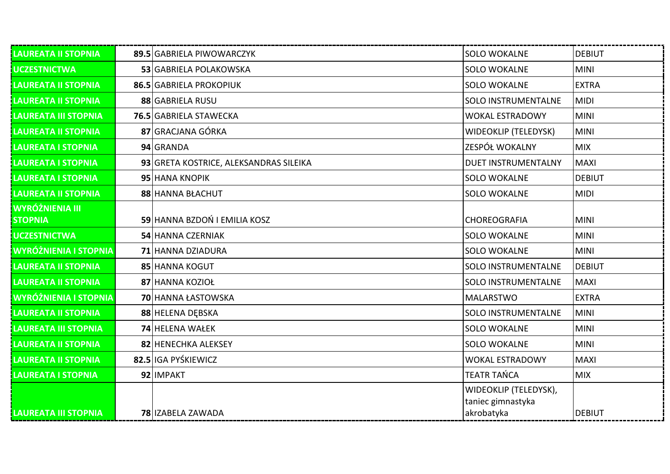| LAUREATA II STOPNIA                      | 89.5 GABRIELA PIWOWARCZYK              | <b>SOLO WOKALNE</b>                                      | <b>DEBIUT</b> |
|------------------------------------------|----------------------------------------|----------------------------------------------------------|---------------|
| <b>UCZESTNICTWA</b>                      | 53 GABRIELA POLAKOWSKA                 | <b>SOLO WOKALNE</b>                                      | <b>MINI</b>   |
| LAUREATA II STOPNIA                      | 86.5 GABRIELA PROKOPIUK                | <b>SOLO WOKALNE</b>                                      | <b>EXTRA</b>  |
| <b>LAUREATA II STOPNIA</b>               | 88 GABRIELA RUSU                       | <b>SOLO INSTRUMENTALNE</b>                               | <b>MIDI</b>   |
| <b>LAUREATA III STOPNIA</b>              | 76.5 GABRIELA STAWECKA                 | <b>WOKAL ESTRADOWY</b>                                   | <b>MINI</b>   |
| <b>LAUREATA II STOPNIA</b>               | 87 GRACJANA GÓRKA                      | <b>WIDEOKLIP (TELEDYSK)</b>                              | <b>MINI</b>   |
| <b>LAUREATA I STOPNIA</b>                | 94 GRANDA                              | ZESPÓŁ WOKALNY                                           | <b>MIX</b>    |
| LAUREATA I STOPNIA                       | 93 GRETA KOSTRICE, ALEKSANDRAS SILEIKA | <b>DUET INSTRUMENTALNY</b>                               | <b>MAXI</b>   |
| LAUREATA I STOPNIA                       | 95 HANA KNOPIK                         | <b>SOLO WOKALNE</b>                                      | <b>DEBIUT</b> |
| LAUREATA II STOPNIA                      | 88 HANNA BŁACHUT                       | <b>SOLO WOKALNE</b>                                      | <b>MIDI</b>   |
| <b>WYRÓŻNIENIA III</b><br><b>STOPNIA</b> | 59 HANNA BZDOŃ I EMILIA KOSZ           | CHOREOGRAFIA                                             | <b>MINI</b>   |
| <b>UCZESTNICTWA</b>                      | 54 HANNA CZERNIAK                      | <b>SOLO WOKALNE</b>                                      | <b>MINI</b>   |
| WYRÓŻNIENIA I STOPNIA                    | 71 HANNA DZIADURA                      | <b>SOLO WOKALNE</b>                                      | <b>MINI</b>   |
| LAUREATA II STOPNIA                      | 85 HANNA KOGUT                         | SOLO INSTRUMENTALNE                                      | <b>DEBIUT</b> |
| <b>LAUREATA II STOPNIA</b>               | 87 HANNA KOZIOŁ                        | <b>SOLO INSTRUMENTALNE</b>                               | <b>MAXI</b>   |
| WYRÓŻNIENIA I STOPNIA                    | 70 HANNA ŁASTOWSKA                     | <b>MALARSTWO</b>                                         | <b>EXTRA</b>  |
| LAUREATA II STOPNIA                      | 88 HELENA DEBSKA                       | <b>SOLO INSTRUMENTALNE</b>                               | <b>MINI</b>   |
| <b>LAUREATA III STOPNIA</b>              | 74 HELENA WAŁEK                        | <b>SOLO WOKALNE</b>                                      | <b>MINI</b>   |
| <b>LAUREATA II STOPNIA</b>               | 82 HENECHKA ALEKSEY                    | <b>SOLO WOKALNE</b>                                      | <b>MINI</b>   |
| <b>LAUREATA II STOPNIA</b>               | 82.5 IGA PYŚKIEWICZ                    | <b>WOKAL ESTRADOWY</b>                                   | <b>MAXI</b>   |
| <b>LAUREATA I STOPNIA</b>                | 92 IMPAKT                              | <b>TEATR TAŃCA</b>                                       | <b>MIX</b>    |
| <b>LAUREATA III STOPNIA</b>              | 78 IZABELA ZAWADA                      | WIDEOKLIP (TELEDYSK),<br>taniec gimnastyka<br>akrobatyka | <b>DEBIUT</b> |
|                                          |                                        |                                                          |               |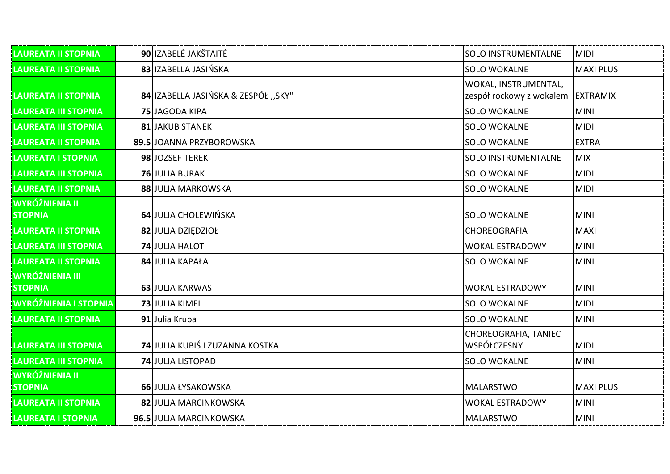| LAUREATA II STOPNIA                      | 90 IZABELĖ JAKŠTAITĖ                | <b>SOLO INSTRUMENTALNE</b>                       | <b>MIDI</b>      |
|------------------------------------------|-------------------------------------|--------------------------------------------------|------------------|
| <b>LAUREATA II STOPNIA</b>               | 83 IZABELLA JASIŃSKA                | <b>SOLO WOKALNE</b>                              | <b>MAXI PLUS</b> |
| <b>LAUREATA II STOPNIA</b>               | 84 IZABELLA JASIŃSKA & ZESPÓŁ "SKY" | WOKAL, INSTRUMENTAL,<br>zespół rockowy z wokalem | <b>EXTRAMIX</b>  |
| LAUREATA III STOPNIA                     | 75 JAGODA KIPA                      | <b>SOLO WOKALNE</b>                              | <b>MINI</b>      |
| <b>LAUREATA III STOPNIA</b>              | <b>81 JAKUB STANEK</b>              | <b>SOLO WOKALNE</b>                              | <b>MIDI</b>      |
| <b>LAUREATA II STOPNIA</b>               | 89.5 JOANNA PRZYBOROWSKA            | <b>SOLO WOKALNE</b>                              | <b>EXTRA</b>     |
| LAUREATA I STOPNIA                       | 98 JOZSEF TEREK                     | <b>SOLO INSTRUMENTALNE</b>                       | <b>MIX</b>       |
| <b>LAUREATA III STOPNIA</b>              | <b>76 JULIA BURAK</b>               | <b>SOLO WOKALNE</b>                              | <b>MIDI</b>      |
| <b>LAUREATA II STOPNIA</b>               | 88 JULIA MARKOWSKA                  | <b>SOLO WOKALNE</b>                              | <b>MIDI</b>      |
| <b>WYRÓŻNIENIA II</b><br><b>STOPNIA</b>  | 64 JULIA CHOLEWIŃSKA                | <b>SOLO WOKALNE</b>                              | <b>MINI</b>      |
| <b>LAUREATA II STOPNIA</b>               | 82 JULIA DZIĘDZIOŁ                  | CHOREOGRAFIA                                     | <b>MAXI</b>      |
| <b>LAUREATA III STOPNIA</b>              | 74 JULIA HALOT                      | <b>WOKAL ESTRADOWY</b>                           | <b>MINI</b>      |
| LAUREATA II STOPNIA                      | 84 JULIA KAPAŁA                     | <b>SOLO WOKALNE</b>                              | <b>MINI</b>      |
| <b>WYRÓŻNIENIA III</b><br><b>STOPNIA</b> | 63 JULIA KARWAS                     | <b>WOKAL ESTRADOWY</b>                           | <b>MINI</b>      |
| <b>WYRÓŻNIENIA I STOPNIA</b>             | 73 JULIA KIMEL                      | <b>SOLO WOKALNE</b>                              | <b>MIDI</b>      |
| <b>LAUREATA II STOPNIA</b>               | 91 Julia Krupa                      | <b>SOLO WOKALNE</b>                              | <b>MINI</b>      |
| LAUREATA III STOPNIA                     | 74 JULIA KUBIŚ I ZUZANNA KOSTKA     | CHOREOGRAFIA, TANIEC<br>WSPÓŁCZESNY              | <b>MIDI</b>      |
| <b>LAUREATA III STOPNIA</b>              | <b>74 JULIA LISTOPAD</b>            | <b>SOLO WOKALNE</b>                              | <b>MINI</b>      |
| <b>WYRÓŻNIENIA II</b><br><b>STOPNIA</b>  | 66 JULIA ŁYSAKOWSKA                 | <b>MALARSTWO</b>                                 | <b>MAXI PLUS</b> |
| <b>LAUREATA II STOPNIA</b>               | 82 JULIA MARCINKOWSKA               | <b>WOKAL ESTRADOWY</b>                           | <b>MINI</b>      |
| <b>LAUREATA I STOPNIA</b>                | 96.5 JULIA MARCINKOWSKA             | <b>MALARSTWO</b>                                 | <b>MINI</b>      |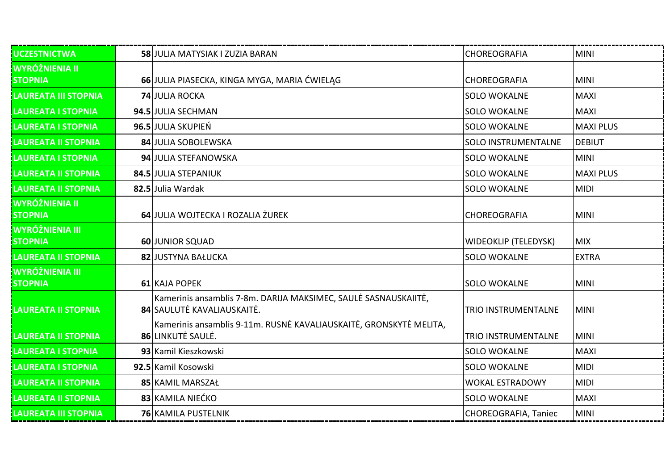| <b>UCZESTNICTWA</b>                      | 58 JULIA MATYSIAK I ZUZIA BARAN                                                               | CHOREOGRAFIA                | <b>MINI</b>      |
|------------------------------------------|-----------------------------------------------------------------------------------------------|-----------------------------|------------------|
| <b>WYRÓŻNIENIA II</b><br><b>STOPNIA</b>  | 66 JULIA PIASECKA, KINGA MYGA, MARIA ĆWIELĄG                                                  | CHOREOGRAFIA                | <b>MINI</b>      |
| <b>LAUREATA III STOPNIA</b>              | <b>74 JULIA ROCKA</b>                                                                         | <b>SOLO WOKALNE</b>         | <b>MAXI</b>      |
| LAUREATA I STOPNIA                       | 94.5 JULIA SECHMAN                                                                            | <b>SOLO WOKALNE</b>         | <b>MAXI</b>      |
| <b>LAUREATA I STOPNIA</b>                | 96.5 JULIA SKUPIEŃ                                                                            | <b>SOLO WOKALNE</b>         | <b>MAXI PLUS</b> |
| <b>LAUREATA II STOPNIA</b>               | 84 JULIA SOBOLEWSKA                                                                           | <b>SOLO INSTRUMENTALNE</b>  | <b>DEBIUT</b>    |
| LAUREATA I STOPNIA                       | 94 JULIA STEFANOWSKA                                                                          | <b>SOLO WOKALNE</b>         | <b>MINI</b>      |
| <b>LAUREATA II STOPNIA</b>               | 84.5 JULIA STEPANIUK                                                                          | <b>SOLO WOKALNE</b>         | <b>MAXI PLUS</b> |
| <b>LAUREATA II STOPNIA</b>               | 82.5 Julia Wardak                                                                             | <b>SOLO WOKALNE</b>         | <b>MIDI</b>      |
| WYRÓŻNIENIA II<br><b>STOPNIA</b>         | 64 JULIA WOJTECKA I ROZALIA ŻUREK                                                             | CHOREOGRAFIA                | <b>MINI</b>      |
| <b>WYRÓŻNIENIA III</b><br><b>STOPNIA</b> | 60 JUNIOR SQUAD                                                                               | <b>WIDEOKLIP (TELEDYSK)</b> | <b>MIX</b>       |
| <b>LAUREATA II STOPNIA</b>               | 82 JUSTYNA BAŁUCKA                                                                            | <b>SOLO WOKALNE</b>         | <b>EXTRA</b>     |
| <b>WYRÓŻNIENIA III</b><br><b>STOPNIA</b> | 61 KAJA POPEK                                                                                 | <b>SOLO WOKALNE</b>         | <b>MINI</b>      |
| <b>LAUREATA II STOPNIA</b>               | Kamerinis ansamblis 7-8m. DARIJA MAKSIMEC, SAULĖ SASNAUSKAIITĖ,<br>84 SAULUTĖ KAVALIAUSKAITĖ. | <b>TRIO INSTRUMENTALNE</b>  | <b>MINI</b>      |
| LAUREATA II STOPNIA                      | Kamerinis ansamblis 9-11m. RUSNĖ KAVALIAUSKAITĖ, GRONSKYTĖ MELITA,<br>86 LINKUTĖ SAULĖ.       | <b>TRIO INSTRUMENTALNE</b>  | <b>MINI</b>      |
| <b>LAUREATA I STOPNIA</b>                | 93 Kamil Kieszkowski                                                                          | <b>SOLO WOKALNE</b>         | <b>MAXI</b>      |
| LAUREATA I STOPNIA                       | 92.5 Kamil Kosowski                                                                           | <b>SOLO WOKALNE</b>         | <b>MIDI</b>      |
| <b>LAUREATA II STOPNIA</b>               | 85 KAMIL MARSZAŁ                                                                              | <b>WOKAL ESTRADOWY</b>      | <b>MIDI</b>      |
| <b>LAUREATA II STOPNIA</b>               | 83 KAMILA NIEĆKO                                                                              | <b>SOLO WOKALNE</b>         | <b>MAXI</b>      |
| <b>LAUREATA III STOPNIA</b>              | <b>76 KAMILA PUSTELNIK</b>                                                                    | CHOREOGRAFIA, Taniec        | <b>MINI</b>      |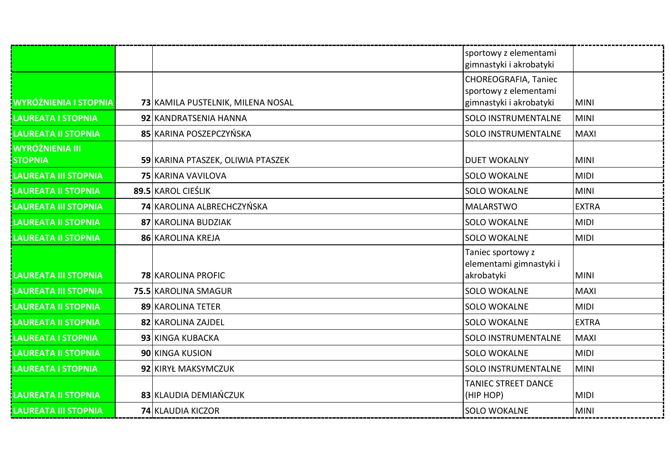|                              |                                   | sportowy z elementami      |              |
|------------------------------|-----------------------------------|----------------------------|--------------|
|                              |                                   | gimnastyki i akrobatyki    |              |
|                              |                                   | CHOREOGRAFIA, Taniec       |              |
|                              |                                   | sportowy z elementami      |              |
| <b>WYRÓŻNIENIA I STOPNIA</b> | 73 KAMILA PUSTELNIK, MILENA NOSAL | gimnastyki i akrobatyki    | <b>MINI</b>  |
| <b>LAUREATA I STOPNIA</b>    | 92 KANDRATSENIA HANNA             | <b>SOLO INSTRUMENTALNE</b> | <b>MINI</b>  |
| <b>LAUREATA II STOPNIA</b>   | 85 KARINA POSZEPCZYŃSKA           | <b>SOLO INSTRUMENTALNE</b> | <b>MAXI</b>  |
| <b>WYRÓŻNIENIA III</b>       |                                   |                            |              |
| <b>STOPNIA</b>               | 59 KARINA PTASZEK, OLIWIA PTASZEK | <b>DUET WOKALNY</b>        | <b>MINI</b>  |
| <b>LAUREATA III STOPNIA</b>  | 75 KARINA VAVILOVA                | <b>SOLO WOKALNE</b>        | <b>MIDI</b>  |
| <b>LAUREATA II STOPNIA</b>   | 89.5 KAROL CIEŚLIK                | <b>SOLO WOKALNE</b>        | <b>MINI</b>  |
| <b>LAUREATA III STOPNIA</b>  | <b>74 KAROLINA ALBRECHCZYŃSKA</b> | <b>MALARSTWO</b>           | <b>EXTRA</b> |
| <b>LAUREATA II STOPNIA</b>   | 87 KAROLINA BUDZIAK               | <b>SOLO WOKALNE</b>        | <b>MIDI</b>  |
| <b>LAUREATA II STOPNIA</b>   | 86 KAROLINA KREJA                 | <b>SOLO WOKALNE</b>        | <b>MIDI</b>  |
|                              |                                   | Taniec sportowy z          |              |
|                              |                                   | elementami gimnastyki i    |              |
| <b>LAUREATA III STOPNIA</b>  | <b>78 KAROLINA PROFIC</b>         | akrobatyki                 | <b>MINI</b>  |
| <b>LAUREATA III STOPNIA</b>  | 75.5 KAROLINA SMAGUR              | <b>SOLO WOKALNE</b>        | <b>MAXI</b>  |
| <b>LAUREATA II STOPNIA</b>   | 89 KAROLINA TETER                 | <b>SOLO WOKALNE</b>        | <b>MIDI</b>  |
| <b>LAUREATA II STOPNIA</b>   | 82 KAROLINA ZAJDEL                | <b>SOLO WOKALNE</b>        | <b>EXTRA</b> |
| <b>LAUREATA I STOPNIA</b>    | 93 KINGA KUBACKA                  | <b>SOLO INSTRUMENTALNE</b> | <b>MAXI</b>  |
| <b>LAUREATA II STOPNIA</b>   | 90 KINGA KUSION                   | <b>SOLO WOKALNE</b>        | <b>MIDI</b>  |
| <b>LAUREATA I STOPNIA</b>    | 92 KIRYŁ MAKSYMCZUK               | SOLO INSTRUMENTALNE        | <b>MINI</b>  |
|                              |                                   | <b>TANIEC STREET DANCE</b> |              |
| <b>LAUREATA II STOPNIA</b>   | 83 KLAUDIA DEMIAŃCZUK             | (HIP HOP)                  | <b>MIDI</b>  |
| <b>LAUREATA III STOPNIA</b>  | 74 KLAUDIA KICZOR                 | <b>SOLO WOKALNE</b>        | <b>MINI</b>  |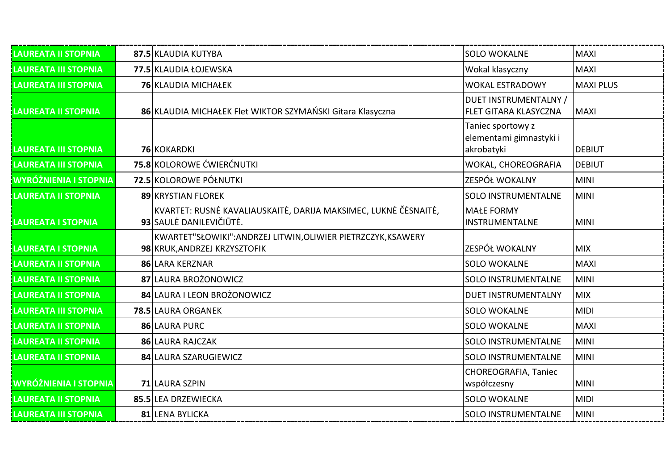| <b>LAUREATA II STOPNIA</b>   | 87.5 KLAUDIA KUTYBA                                                                           | <b>SOLO WOKALNE</b>                                   | <b>MAXI</b>      |
|------------------------------|-----------------------------------------------------------------------------------------------|-------------------------------------------------------|------------------|
| <b>LAUREATA III STOPNIA</b>  | 77.5 KLAUDIA ŁOJEWSKA                                                                         | Wokal klasyczny                                       | <b>MAXI</b>      |
| <b>LAUREATA III STOPNIA</b>  | 76 KLAUDIA MICHAŁEK                                                                           | <b>WOKAL ESTRADOWY</b>                                | <b>MAXI PLUS</b> |
| <b>LAUREATA II STOPNIA</b>   | 86 KLAUDIA MICHAŁEK Flet WIKTOR SZYMAŃSKI Gitara Klasyczna                                    | DUET INSTRUMENTALNY /<br><b>FLET GITARA KLASYCZNA</b> | <b>MAXI</b>      |
|                              |                                                                                               | Taniec sportowy z<br>elementami gimnastyki i          | <b>DEBIUT</b>    |
| <b>LAUREATA III STOPNIA</b>  | <b>76 KOKARDKI</b>                                                                            | akrobatyki                                            |                  |
| <b>LAUREATA III STOPNIA</b>  | 75.8 KOLOROWE ĆWIERĆNUTKI                                                                     | WOKAL, CHOREOGRAFIA                                   | <b>DEBIUT</b>    |
| <b>WYRÓŻNIENIA I STOPNIA</b> | 72.5 KOLOROWE PÓŁNUTKI                                                                        | ZESPÓŁ WOKALNY                                        | <b>MINI</b>      |
| <b>LAUREATA II STOPNIA</b>   | 89 KRYSTIAN FLOREK                                                                            | <b>SOLO INSTRUMENTALNE</b>                            | <b>MINI</b>      |
| <b>LAUREATA I STOPNIA</b>    | KVARTET: RUSNĖ KAVALIAUSKAITĖ, DARIJA MAKSIMEC, LUKNĖ ČĖSNAITĖ,<br>93 SAULE DANILEVIČIŪTE.    | <b>MAŁE FORMY</b><br>INSTRUMENTALNE                   | <b>MINI</b>      |
| <b>LAUREATA I STOPNIA</b>    | KWARTET"SŁOWIKI": ANDRZEJ LITWIN, OLIWIER PIETRZCZYK, KSAWERY<br>98 KRUK, ANDRZEJ KRZYSZTOFIK | ZESPÓŁ WOKALNY                                        | <b>MIX</b>       |
| <b>LAUREATA II STOPNIA</b>   | 86 LARA KERZNAR                                                                               | <b>SOLO WOKALNE</b>                                   | <b>MAXI</b>      |
| <b>LAUREATA II STOPNIA</b>   | 87 LAURA BROŻONOWICZ                                                                          | <b>SOLO INSTRUMENTALNE</b>                            | <b>MINI</b>      |
| <b>LAUREATA II STOPNIA</b>   | 84 LAURA I LEON BROŻONOWICZ                                                                   | <b>DUET INSTRUMENTALNY</b>                            | <b>MIX</b>       |
| <b>LAUREATA III STOPNIA</b>  | 78.5 LAURA ORGANEK                                                                            | <b>SOLO WOKALNE</b>                                   | <b>MIDI</b>      |
| <b>LAUREATA II STOPNIA</b>   | 86 LAURA PURC                                                                                 | <b>SOLO WOKALNE</b>                                   | <b>MAXI</b>      |
| <b>LAUREATA II STOPNIA</b>   | 86 LAURA RAJCZAK                                                                              | <b>SOLO INSTRUMENTALNE</b>                            | <b>MINI</b>      |
| <b>LAUREATA II STOPNIA</b>   | 84 LAURA SZARUGIEWICZ                                                                         | <b>SOLO INSTRUMENTALNE</b>                            | <b>MINI</b>      |
|                              |                                                                                               | CHOREOGRAFIA, Taniec                                  |                  |
| <b>WYRÓŻNIENIA I STOPNIA</b> | 71 LAURA SZPIN                                                                                | współczesny                                           | <b>MINI</b>      |
| <b>LAUREATA II STOPNIA</b>   | 85.5 LEA DRZEWIECKA                                                                           | <b>SOLO WOKALNE</b>                                   | <b>MIDI</b>      |
| <b>LAUREATA III STOPNIA</b>  | 81 LENA BYLICKA                                                                               | <b>SOLO INSTRUMENTALNE</b>                            | <b>MINI</b>      |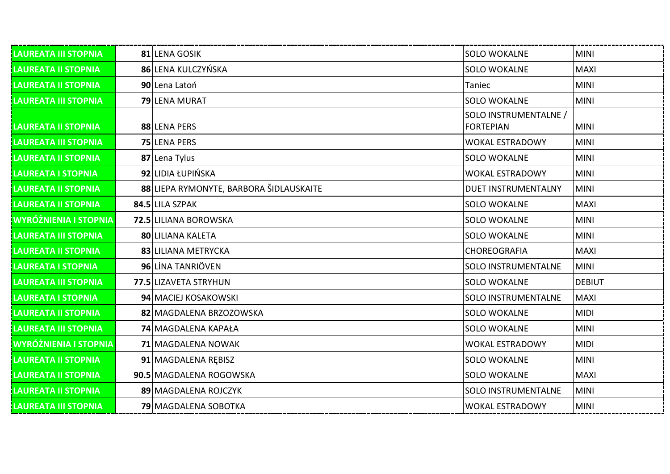| LAUREATA III STOPNIA         | 81 LENA GOSIK                           | <b>SOLO WOKALNE</b>                       | MINI          |
|------------------------------|-----------------------------------------|-------------------------------------------|---------------|
| <b>LAUREATA II STOPNIA</b>   | 86 LENA KULCZYŃSKA                      | <b>SOLO WOKALNE</b>                       | <b>MAXI</b>   |
| <b>LAUREATA II STOPNIA</b>   | 90 Lena Latoń                           | Taniec                                    | <b>MINI</b>   |
| <b>LAUREATA III STOPNIA</b>  | 79 LENA MURAT                           | <b>SOLO WOKALNE</b>                       | MINI          |
| <b>LAUREATA II STOPNIA</b>   | 88 LENA PERS                            | SOLO INSTRUMENTALNE /<br><b>FORTEPIAN</b> | <b>MINI</b>   |
| <b>LAUREATA III STOPNIA</b>  | 75 LENA PERS                            | <b>WOKAL ESTRADOWY</b>                    | <b>MINI</b>   |
| <b>LAUREATA II STOPNIA</b>   | 87 Lena Tylus                           | <b>SOLO WOKALNE</b>                       | <b>MINI</b>   |
| <b>LAUREATA I STOPNIA</b>    | 92 LIDIA ŁUPIŃSKA                       | <b>WOKAL ESTRADOWY</b>                    | <b>MINI</b>   |
| <b>LAUREATA II STOPNIA</b>   | 88 LIEPA RYMONYTE, BARBORA ŠIDLAUSKAITE | <b>DUET INSTRUMENTALNY</b>                | <b>MINI</b>   |
| <b>LAUREATA II STOPNIA</b>   | 84.5 LILA SZPAK                         | <b>SOLO WOKALNE</b>                       | <b>MAXI</b>   |
| <b>WYRÓŻNIENIA I STOPNIA</b> | 72.5 LILIANA BOROWSKA                   | <b>SOLO WOKALNE</b>                       | <b>MINI</b>   |
| <b>LAUREATA III STOPNIA</b>  | 80 LILIANA KALETA                       | <b>SOLO WOKALNE</b>                       | <b>MINI</b>   |
| LAUREATA II STOPNIA          | 83 LILIANA METRYCKA                     | CHOREOGRAFIA                              | <b>MAXI</b>   |
| LAUREATA I STOPNIA           | 96 LINA TANRIÖVEN                       | <b>SOLO INSTRUMENTALNE</b>                | <b>MINI</b>   |
| <b>LAUREATA III STOPNIA</b>  | 77.5 LIZAVETA STRYHUN                   | <b>SOLO WOKALNE</b>                       | <b>DEBIUT</b> |
| <b>LAUREATA I STOPNIA</b>    | 94 MACIEJ KOSAKOWSKI                    | <b>SOLO INSTRUMENTALNE</b>                | <b>MAXI</b>   |
| <b>LAUREATA II STOPNIA</b>   | 82 MAGDALENA BRZOZOWSKA                 | <b>SOLO WOKALNE</b>                       | <b>MIDI</b>   |
| LAUREATA III STOPNIA         | 74 MAGDALENA KAPAŁA                     | <b>SOLO WOKALNE</b>                       | <b>MINI</b>   |
| WYRÓŻNIENIA I STOPNIA        | 71 MAGDALENA NOWAK                      | <b>WOKAL ESTRADOWY</b>                    | <b>MIDI</b>   |
| <b>LAUREATA II STOPNIA</b>   | 91 MAGDALENA REBISZ                     | <b>SOLO WOKALNE</b>                       | <b>MINI</b>   |
| <b>LAUREATA II STOPNIA</b>   | 90.5 MAGDALENA ROGOWSKA                 | <b>SOLO WOKALNE</b>                       | <b>MAXI</b>   |
| <b>LAUREATA II STOPNIA</b>   | 89 MAGDALENA ROJCZYK                    | <b>SOLO INSTRUMENTALNE</b>                | <b>MINI</b>   |
| <b>LAUREATA III STOPNIA</b>  | 79 MAGDALENA SOBOTKA                    | <b>WOKAL ESTRADOWY</b>                    | <b>MINI</b>   |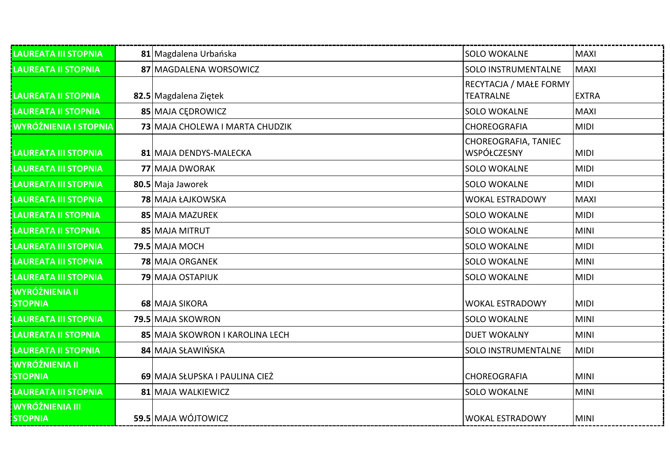| LAUREATA III STOPNIA                     | 81 Magdalena Urbańska           | <b>SOLO WOKALNE</b>                        | <b>MAXI</b>  |
|------------------------------------------|---------------------------------|--------------------------------------------|--------------|
| <b>LAUREATA II STOPNIA</b>               | 87 MAGDALENA WORSOWICZ          | SOLO INSTRUMENTALNE                        | <b>MAXI</b>  |
| <b>LAUREATA II STOPNIA</b>               | 82.5 Magdalena Ziętek           | RECYTACJA / MAŁE FORMY<br><b>TEATRALNE</b> | <b>EXTRA</b> |
| <b>LAUREATA II STOPNIA</b>               | 85 MAJA CEDROWICZ               | <b>SOLO WOKALNE</b>                        | <b>MAXI</b>  |
| <b>WYRÓŻNIENIA I STOPNIA</b>             | 73 MAJA CHOLEWA I MARTA CHUDZIK | CHOREOGRAFIA                               | <b>MIDI</b>  |
| LAUREATA III STOPNIA                     | 81 MAJA DENDYS-MALECKA          | CHOREOGRAFIA, TANIEC<br>WSPÓŁCZESNY        | <b>MIDI</b>  |
| <b>LAUREATA III STOPNIA</b>              | 77 MAJA DWORAK                  | <b>SOLO WOKALNE</b>                        | <b>MIDI</b>  |
| <b>LAUREATA III STOPNIA</b>              | 80.5 Maja Jaworek               | <b>SOLO WOKALNE</b>                        | <b>MIDI</b>  |
| <b>LAUREATA III STOPNIA</b>              | <b>78 MAJA ŁAJKOWSKA</b>        | <b>WOKAL ESTRADOWY</b>                     | <b>MAXI</b>  |
| <b>LAUREATA II STOPNIA</b>               | 85 MAJA MAZUREK                 | <b>SOLO WOKALNE</b>                        | <b>MIDI</b>  |
| <b>LAUREATA II STOPNIA</b>               | 85 MAJA MITRUT                  | <b>SOLO WOKALNE</b>                        | <b>MINI</b>  |
| <b>LAUREATA III STOPNIA</b>              | 79.5 MAJA MOCH                  | <b>SOLO WOKALNE</b>                        | <b>MIDI</b>  |
| <b>LAUREATA III STOPNIA</b>              | 78 MAJA ORGANEK                 | <b>SOLO WOKALNE</b>                        | <b>MINI</b>  |
| LAUREATA III STOPNIA                     | <b>79 MAJA OSTAPIUK</b>         | <b>SOLO WOKALNE</b>                        | <b>MIDI</b>  |
| <b>WYRÓŻNIENIA II</b><br><b>STOPNIA</b>  | 68 MAJA SIKORA                  | <b>WOKAL ESTRADOWY</b>                     | <b>MIDI</b>  |
| <b>LAUREATA III STOPNIA</b>              | 79.5 MAJA SKOWRON               | <b>SOLO WOKALNE</b>                        | <b>MINI</b>  |
| <b>LAUREATA II STOPNIA</b>               | 85 MAJA SKOWRON I KAROLINA LECH | <b>DUET WOKALNY</b>                        | <b>MINI</b>  |
| <b>LAUREATA II STOPNIA</b>               | 84 MAJA SŁAWIŃSKA               | <b>SOLO INSTRUMENTALNE</b>                 | <b>MIDI</b>  |
| <b>WYRÓŻNIENIA II</b><br><b>STOPNIA</b>  | 69 MAJA SŁUPSKA I PAULINA CIEŻ  | CHOREOGRAFIA                               | <b>MINI</b>  |
| LAUREATA III STOPNIA                     | 81 MAJA WALKIEWICZ              | <b>SOLO WOKALNE</b>                        | <b>MINI</b>  |
| <b>WYRÓŻNIENIA III</b><br><b>STOPNIA</b> | 59.5 MAJA WÓJTOWICZ             | <b>WOKAL ESTRADOWY</b>                     | <b>MINI</b>  |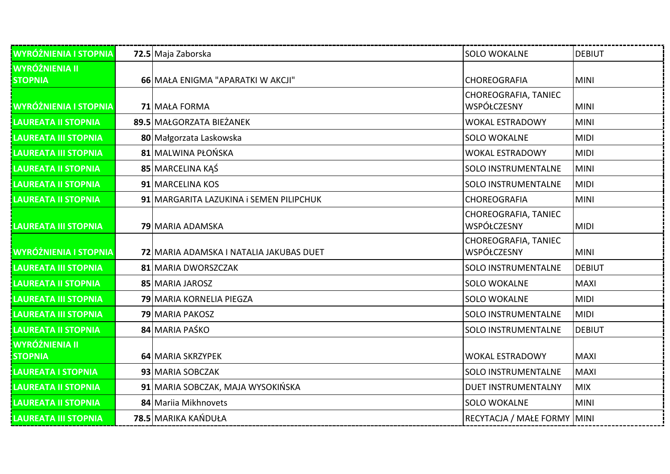| <b>WYRÓŻNIENIA I STOPNIA</b>            | 72.5 Maja Zaborska                      | <b>SOLO WOKALNE</b>                 | DEBIUT        |
|-----------------------------------------|-----------------------------------------|-------------------------------------|---------------|
| <b>WYRÓŻNIENIA II</b><br><b>STOPNIA</b> | 66 MAŁA ENIGMA "APARATKI W AKCJI"       | CHOREOGRAFIA                        | <b>MINI</b>   |
| <b>WYRÓŻNIENIA I STOPNIA</b>            | 71 MAŁA FORMA                           | CHOREOGRAFIA, TANIEC<br>WSPÓŁCZESNY | <b>MINI</b>   |
| LAUREATA II STOPNIA                     | 89.5 MAŁGORZATA BIEŻANEK                | <b>WOKAL ESTRADOWY</b>              | <b>MINI</b>   |
| LAUREATA III STOPNIA                    | 80 Małgorzata Laskowska                 | <b>SOLO WOKALNE</b>                 | <b>MIDI</b>   |
| <b>LAUREATA III STOPNIA</b>             | 81 MALWINA PŁOŃSKA                      | <b>WOKAL ESTRADOWY</b>              | <b>MIDI</b>   |
| <b>LAUREATA II STOPNIA</b>              | 85 MARCELINA KAŚ                        | <b>SOLO INSTRUMENTALNE</b>          | <b>MINI</b>   |
| <b>LAUREATA II STOPNIA</b>              | 91 MARCELINA KOS                        | <b>SOLO INSTRUMENTALNE</b>          | <b>MIDI</b>   |
| <b>LAUREATA II STOPNIA</b>              | 91 MARGARITA LAZUKINA i SEMEN PILIPCHUK | CHOREOGRAFIA                        | <b>MINI</b>   |
| <b>LAUREATA III STOPNIA</b>             | 79 MARIA ADAMSKA                        | CHOREOGRAFIA, TANIEC<br>WSPÓŁCZESNY | <b>MIDI</b>   |
| <b>WYRÓŻNIENIA I STOPNIA</b>            | 72 MARIA ADAMSKA I NATALIA JAKUBAS DUET | CHOREOGRAFIA, TANIEC<br>WSPÓŁCZESNY | <b>MINI</b>   |
| <b>LAUREATA III STOPNIA</b>             | 81 MARIA DWORSZCZAK                     | <b>SOLO INSTRUMENTALNE</b>          | <b>DEBIUT</b> |
| <b>LAUREATA II STOPNIA</b>              | 85 MARIA JAROSZ                         | <b>SOLO WOKALNE</b>                 | <b>MAXI</b>   |
| <b>LAUREATA III STOPNIA</b>             | 79 MARIA KORNELIA PIEGZA                | <b>SOLO WOKALNE</b>                 | <b>MIDI</b>   |
| <b>LAUREATA III STOPNIA</b>             | <b>79 MARIA PAKOSZ</b>                  | <b>SOLO INSTRUMENTALNE</b>          | <b>MIDI</b>   |
| <b>LAUREATA II STOPNIA</b>              | 84 MARIA PAŚKO                          | SOLO INSTRUMENTALNE                 | <b>DEBIUT</b> |
| <b>WYRÓŻNIENIA II</b><br><b>STOPNIA</b> | 64 MARIA SKRZYPEK                       | <b>WOKAL ESTRADOWY</b>              | <b>MAXI</b>   |
| LAUREATA I STOPNIA                      | 93 MARIA SOBCZAK                        | <b>SOLO INSTRUMENTALNE</b>          | <b>MAXI</b>   |
| <b>LAUREATA II STOPNIA</b>              | 91 MARIA SOBCZAK, MAJA WYSOKIŃSKA       | <b>DUET INSTRUMENTALNY</b>          | <b>MIX</b>    |
| <b>LAUREATA II STOPNIA</b>              | 84 Mariia Mikhnovets                    | <b>SOLO WOKALNE</b>                 | <b>MINI</b>   |
| <b>LAUREATA III STOPNIA</b>             | 78.5 MARIKA KAŃDUŁA                     | RECYTACJA / MAŁE FORMY MINI         |               |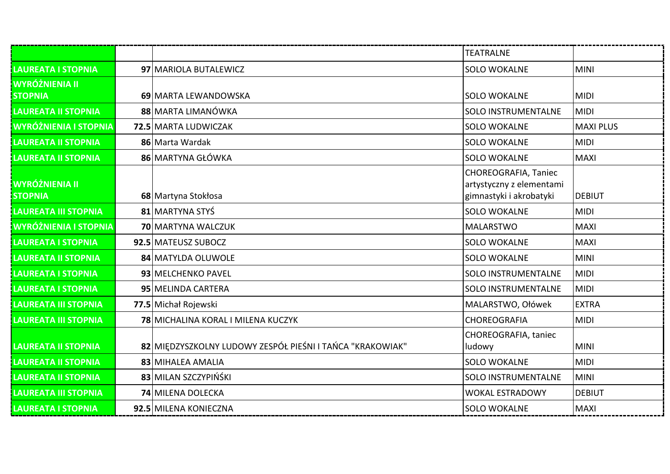|                                         |                                                           | <b>TEATRALNE</b>                                                            |                  |
|-----------------------------------------|-----------------------------------------------------------|-----------------------------------------------------------------------------|------------------|
| <b>LAUREATA I STOPNIA</b>               | 97 MARIOLA BUTALEWICZ                                     | <b>SOLO WOKALNE</b>                                                         | <b>MINI</b>      |
| <b>WYRÓŻNIENIA II</b><br><b>STOPNIA</b> | 69 MARTA LEWANDOWSKA                                      | <b>SOLO WOKALNE</b>                                                         | <b>MIDI</b>      |
| <b>LAUREATA II STOPNIA</b>              | 88 MARTA LIMANÓWKA                                        | <b>SOLO INSTRUMENTALNE</b>                                                  | <b>MIDI</b>      |
| <b>WYRÓŻNIENIA I STOPNIA</b>            | 72.5 MARTA LUDWICZAK                                      | <b>SOLO WOKALNE</b>                                                         | <b>MAXI PLUS</b> |
| <b>LAUREATA II STOPNIA</b>              | 86 Marta Wardak                                           | <b>SOLO WOKALNE</b>                                                         | <b>MIDI</b>      |
| <b>LAUREATA II STOPNIA</b>              | 86 MARTYNA GŁÓWKA                                         | <b>SOLO WOKALNE</b>                                                         | <b>MAXI</b>      |
| <b>WYRÓŻNIENIA II</b><br><b>STOPNIA</b> | 68 Martyna Stokłosa                                       | CHOREOGRAFIA, Taniec<br>artystyczny z elementami<br>gimnastyki i akrobatyki | <b>DEBIUT</b>    |
| <b>LAUREATA III STOPNIA</b>             | 81 MARTYNA STYŚ                                           | <b>SOLO WOKALNE</b>                                                         | <b>MIDI</b>      |
| <b>WYRÓŻNIENIA I STOPNIA</b>            | 70 MARTYNA WALCZUK                                        | <b>MALARSTWO</b>                                                            | <b>MAXI</b>      |
| <b>LAUREATA I STOPNIA</b>               | 92.5 MATEUSZ SUBOCZ                                       | <b>SOLO WOKALNE</b>                                                         | <b>MAXI</b>      |
| <b>LAUREATA II STOPNIA</b>              | 84 MATYLDA OLUWOLE                                        | <b>SOLO WOKALNE</b>                                                         | <b>MINI</b>      |
| <b>LAUREATA I STOPNIA</b>               | 93 MELCHENKO PAVEL                                        | SOLO INSTRUMENTALNE                                                         | <b>MIDI</b>      |
| LAUREATA I STOPNIA                      | 95 MELINDA CARTERA                                        | <b>SOLO INSTRUMENTALNE</b>                                                  | <b>MIDI</b>      |
| <b>LAUREATA III STOPNIA</b>             | 77.5 Michał Rojewski                                      | MALARSTWO, Ołówek                                                           | <b>EXTRA</b>     |
| <b>LAUREATA III STOPNIA</b>             | 78 MICHALINA KORAL I MILENA KUCZYK                        | CHOREOGRAFIA                                                                | <b>MIDI</b>      |
| <b>LAUREATA II STOPNIA</b>              | 82 MIEDZYSZKOLNY LUDOWY ZESPÓŁ PIEŚNI I TAŃCA "KRAKOWIAK" | CHOREOGRAFIA, taniec<br>ludowy                                              | <b>MINI</b>      |
| <b>LAUREATA II STOPNIA</b>              | 83 MIHALEA AMALIA                                         | <b>SOLO WOKALNE</b>                                                         | <b>MIDI</b>      |
| <b>LAUREATA II STOPNIA</b>              | 83 MILAN SZCZYPIŃŚKI                                      | <b>SOLO INSTRUMENTALNE</b>                                                  | <b>MINI</b>      |
| <b>LAUREATA III STOPNIA</b>             | 74 MILENA DOLECKA                                         | <b>WOKAL ESTRADOWY</b>                                                      | <b>DEBIUT</b>    |
| <b>LAUREATA I STOPNIA</b>               | 92.5 MILENA KONIECZNA                                     | <b>SOLO WOKALNE</b>                                                         | <b>MAXI</b>      |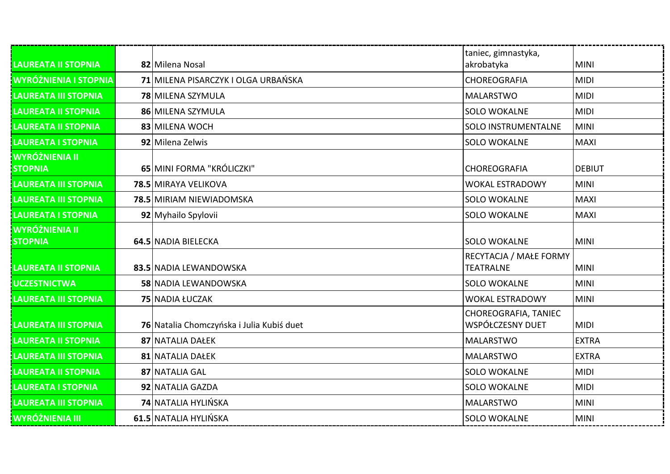| <b>LAUREATA II STOPNIA</b>              | 82 Milena Nosal                           | taniec, gimnastyka,<br>akrobatyka          | <b>MINI</b>   |
|-----------------------------------------|-------------------------------------------|--------------------------------------------|---------------|
| <b>WYRÓŻNIENIA I STOPNIA</b>            | 71 MILENA PISARCZYK I OLGA URBAŃSKA       | CHOREOGRAFIA                               | <b>MIDI</b>   |
| LAUREATA III STOPNIA                    | <b>78 MILENA SZYMULA</b>                  | <b>MALARSTWO</b>                           | <b>MIDI</b>   |
| <b>LAUREATA II STOPNIA</b>              | 86 MILENA SZYMULA                         | <b>SOLO WOKALNE</b>                        | <b>MIDI</b>   |
| <b>LAUREATA II STOPNIA</b>              | 83 MILENA WOCH                            | <b>SOLO INSTRUMENTALNE</b>                 | <b>MINI</b>   |
| <b>LAUREATA I STOPNIA</b>               | 92 Milena Zelwis                          | <b>SOLO WOKALNE</b>                        | <b>MAXI</b>   |
| <b>WYRÓŻNIENIA II</b><br><b>STOPNIA</b> | 65 MINI FORMA "KRÓLICZKI"                 | <b>CHOREOGRAFIA</b>                        | <b>DEBIUT</b> |
| <b>LAUREATA III STOPNIA</b>             | 78.5 MIRAYA VELIKOVA                      | <b>WOKAL ESTRADOWY</b>                     | <b>MINI</b>   |
| <b>LAUREATA III STOPNIA</b>             | 78.5 MIRIAM NIEWIADOMSKA                  | <b>SOLO WOKALNE</b>                        | <b>MAXI</b>   |
| <b>LAUREATA I STOPNIA</b>               | 92 Myhailo Spylovii                       | <b>SOLO WOKALNE</b>                        | <b>MAXI</b>   |
| <b>WYRÓŻNIENIA II</b><br><b>STOPNIA</b> | 64.5 NADIA BIELECKA                       | <b>SOLO WOKALNE</b>                        | <b>MINI</b>   |
| <b>LAUREATA II STOPNIA</b>              | 83.5 NADIA LEWANDOWSKA                    | RECYTACJA / MAŁE FORMY<br><b>TEATRALNE</b> | <b>MINI</b>   |
| <b>UCZESTNICTWA</b>                     | <b>58 NADIA LEWANDOWSKA</b>               | <b>SOLO WOKALNE</b>                        | <b>MINI</b>   |
| <b>LAUREATA III STOPNIA</b>             | 75 NADIA ŁUCZAK                           | <b>WOKAL ESTRADOWY</b>                     | <b>MINI</b>   |
| <b>LAUREATA III STOPNIA</b>             | 76 Natalia Chomczyńska i Julia Kubiś duet | CHOREOGRAFIA, TANIEC<br>WSPÓŁCZESNY DUET   | <b>MIDI</b>   |
| <b>LAUREATA II STOPNIA</b>              | 87 NATALIA DAŁEK                          | <b>MALARSTWO</b>                           | <b>EXTRA</b>  |
| LAUREATA III STOPNIA                    | 81 NATALIA DAŁEK                          | <b>MALARSTWO</b>                           | <b>EXTRA</b>  |
| <b>LAUREATA II STOPNIA</b>              | 87 NATALIA GAL                            | <b>SOLO WOKALNE</b>                        | <b>MIDI</b>   |
| <b>LAUREATA I STOPNIA</b>               | 92 NATALIA GAZDA                          | <b>SOLO WOKALNE</b>                        | <b>MIDI</b>   |
| <b>LAUREATA III STOPNIA</b>             | 74 NATALIA HYLIŃSKA                       | <b>MALARSTWO</b>                           | <b>MINI</b>   |
| <b>WYRÓŻNIENIA III</b>                  | 61.5 NATALIA HYLIŃSKA                     | <b>SOLO WOKALNE</b>                        | <b>MINI</b>   |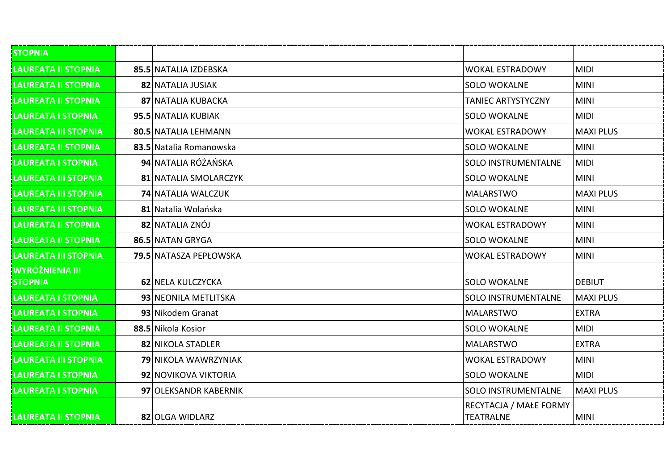| <b>STOPNIA</b>                           |                           |                                     |                  |
|------------------------------------------|---------------------------|-------------------------------------|------------------|
| <b>LAUREATA II STOPNIA</b>               | 85.5 NATALIA IZDEBSKA     | <b>WOKAL ESTRADOWY</b>              | <b>MIDI</b>      |
| <b>LAUREATA II STOPNIA</b>               | 82 NATALIA JUSIAK         | <b>SOLO WOKALNE</b>                 | <b>MINI</b>      |
| <b>LAUREATA II STOPNIA</b>               | 87 NATALIA KUBACKA        | TANIEC ARTYSTYCZNY                  | <b>MINI</b>      |
| <b>LAUREATA I STOPNIA</b>                | 95.5 NATALIA KUBIAK       | <b>SOLO WOKALNE</b>                 | <b>MIDI</b>      |
| <b>LAUREATA III STOPNIA</b>              | 80.5 NATALIA LEHMANN      | <b>WOKAL ESTRADOWY</b>              | <b>MAXI PLUS</b> |
| <b>LAUREATA II STOPNIA</b>               | 83.5 Natalia Romanowska   | <b>SOLO WOKALNE</b>                 | <b>MINI</b>      |
| <b>LAUREATA I STOPNIA</b>                | 94 NATALIA RÓŻAŃSKA       | <b>SOLO INSTRUMENTALNE</b>          | <b>MIDI</b>      |
| <b>LAUREATA III STOPNIA</b>              | 81 NATALIA SMOLARCZYK     | <b>SOLO WOKALNE</b>                 | <b>MINI</b>      |
| <b>LAUREATA III STOPNIA</b>              | <b>74 NATALIA WALCZUK</b> | <b>MALARSTWO</b>                    | <b>MAXI PLUS</b> |
| <b>LAUREATA III STOPNIA</b>              | 81 Natalia Wolańska       | <b>SOLO WOKALNE</b>                 | <b>MINI</b>      |
| <b>LAUREATA II STOPNIA</b>               | 82 NATALIA ZNÓJ           | <b>WOKAL ESTRADOWY</b>              | <b>MINI</b>      |
| <b>LAUREATA II STOPNIA</b>               | 86.5 NATAN GRYGA          | <b>SOLO WOKALNE</b>                 | <b>MINI</b>      |
| <b>LAUREATA III STOPNIA</b>              | 79.5 NATASZA PEPŁOWSKA    | <b>WOKAL ESTRADOWY</b>              | <b>MINI</b>      |
| <b>WYRÓŻNIENIA III</b><br><b>STOPNIA</b> | 62 NELA KULCZYCKA         | <b>SOLO WOKALNE</b>                 | <b>DEBIUT</b>    |
| <b>LAUREATA I STOPNIA</b>                | 93 NEONILA METLITSKA      | <b>SOLO INSTRUMENTALNE</b>          | <b>MAXI PLUS</b> |
| <b>LAUREATA I STOPNIA</b>                | 93 Nikodem Granat         | <b>MALARSTWO</b>                    | <b>EXTRA</b>     |
| <b>LAUREATA II STOPNIA</b>               | 88.5 Nikola Kosior        | <b>SOLO WOKALNE</b>                 | <b>MIDI</b>      |
| <b>LAUREATA II STOPNIA</b>               | 82 NIKOLA STADLER         | <b>MALARSTWO</b>                    | <b>EXTRA</b>     |
| <b>LAUREATA III STOPNIA</b>              | 79 NIKOLA WAWRZYNIAK      | <b>WOKAL ESTRADOWY</b>              | <b>MINI</b>      |
| <b>LAUREATA I STOPNIA</b>                | 92 NOVIKOVA VIKTORIA      | <b>SOLO WOKALNE</b>                 | <b>MIDI</b>      |
| <b>LAUREATA I STOPNIA</b>                | 97 OLEKSANDR KABERNIK     | <b>SOLO INSTRUMENTALNE</b>          | <b>MAXI PLUS</b> |
| <b>LAUREATA II STOPNIA</b>               | 82 OLGA WIDLARZ           | RECYTACJA / MAŁE FORMY<br>TEATRALNE | <b>MINI</b>      |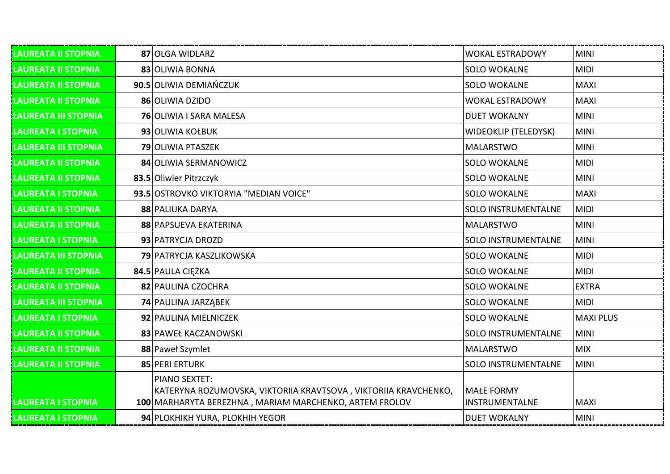| <b>LAUREATA II STOPNIA</b>  | 87 OLGA WIDLARZ                                                                                                           | <b>WOKAL ESTRADOWY</b>                     | MINI             |
|-----------------------------|---------------------------------------------------------------------------------------------------------------------------|--------------------------------------------|------------------|
| <b>LAUREATA II STOPNIA</b>  | 83 OLIWIA BONNA                                                                                                           | <b>SOLO WOKALNE</b>                        | <b>MIDI</b>      |
| <b>LAUREATA II STOPNIA</b>  | 90.5 OLIWIA DEMIAŃCZUK                                                                                                    | <b>SOLO WOKALNE</b>                        | <b>MAXI</b>      |
| <b>LAUREATA II STOPNIA</b>  | 86 OLIWIA DZIDO                                                                                                           | <b>WOKAL ESTRADOWY</b>                     | <b>MAXI</b>      |
| <b>LAUREATA III STOPNIA</b> | <b>76 OLIWIA I SARA MALESA</b>                                                                                            | <b>DUET WOKALNY</b>                        | <b>MINI</b>      |
| <b>LAUREATA I STOPNIA</b>   | 93 OLIWIA KOŁBUK                                                                                                          | <b>WIDEOKLIP (TELEDYSK)</b>                | <b>MINI</b>      |
| <b>LAUREATA III STOPNIA</b> | <b>79 OLIWIA PTASZEK</b>                                                                                                  | <b>MALARSTWO</b>                           | <b>MINI</b>      |
| <b>LAUREATA II STOPNIA</b>  | 84 OLIWIA SERMANOWICZ                                                                                                     | <b>SOLO WOKALNE</b>                        | <b>MIDI</b>      |
| <b>LAUREATA II STOPNIA</b>  | 83.5 Oliwier Pitrzczyk                                                                                                    | <b>SOLO WOKALNE</b>                        | <b>MINI</b>      |
| <b>LAUREATA I STOPNIA</b>   | 93.5 OSTROVKO VIKTORYIA "MEDIAN VOICE"                                                                                    | <b>SOLO WOKALNE</b>                        | <b>MAXI</b>      |
| <b>LAUREATA II STOPNIA</b>  | 88 PALIUKA DARYA                                                                                                          | <b>SOLO INSTRUMENTALNE</b>                 | <b>MIDI</b>      |
| <b>LAUREATA II STOPNIA</b>  | 88 PAPSUEVA EKATERINA                                                                                                     | <b>MALARSTWO</b>                           | <b>MINI</b>      |
| <b>LAUREATA I STOPNIA</b>   | 93 PATRYCJA DROZD                                                                                                         | <b>SOLO INSTRUMENTALNE</b>                 | <b>MINI</b>      |
| <b>LAUREATA III STOPNIA</b> | 79 PATRYCJA KASZLIKOWSKA                                                                                                  | <b>SOLO WOKALNE</b>                        | <b>MIDI</b>      |
| <b>LAUREATA II STOPNIA</b>  | 84.5 PAULA CIEŻKA                                                                                                         | <b>SOLO WOKALNE</b>                        | <b>MIDI</b>      |
| <b>LAUREATA II STOPNIA</b>  | 82 PAULINA CZOCHRA                                                                                                        | <b>SOLO WOKALNE</b>                        | <b>EXTRA</b>     |
| <b>LAUREATA III STOPNIA</b> | 74 PAULINA JARZĄBEK                                                                                                       | <b>SOLO WOKALNE</b>                        | <b>MIDI</b>      |
| <b>LAUREATA I STOPNIA</b>   | 92 PAULINA MIELNICZEK                                                                                                     | <b>SOLO WOKALNE</b>                        | <b>MAXI PLUS</b> |
| <b>LAUREATA II STOPNIA</b>  | 83 PAWEŁ KACZANOWSKI                                                                                                      | <b>SOLO INSTRUMENTALNE</b>                 | <b>MINI</b>      |
| <b>LAUREATA II STOPNIA</b>  | 88 Paweł Szymlet                                                                                                          | <b>MALARSTWO</b>                           | <b>MIX</b>       |
| <b>LAUREATA II STOPNIA</b>  | 85 PERI ERTURK                                                                                                            | <b>SOLO INSTRUMENTALNE</b>                 | <b>MINI</b>      |
|                             | PIANO SEXTET:                                                                                                             |                                            |                  |
| <b>LAUREATA I STOPNIA</b>   | KATERYNA ROZUMOVSKA, VIKTORIIA KRAVTSOVA, VIKTORIIA KRAVCHENKO,<br>100 MARHARYTA BEREZHNA, MARIAM MARCHENKO, ARTEM FROLOV | <b>MAŁE FORMY</b><br><b>INSTRUMENTALNE</b> | <b>MAXI</b>      |
|                             |                                                                                                                           |                                            |                  |
| <b>LAUREATA I STOPNIA</b>   | 94 PLOKHIKH YURA, PLOKHIH YEGOR                                                                                           | <b>DUET WOKALNY</b>                        | <b>MINI</b>      |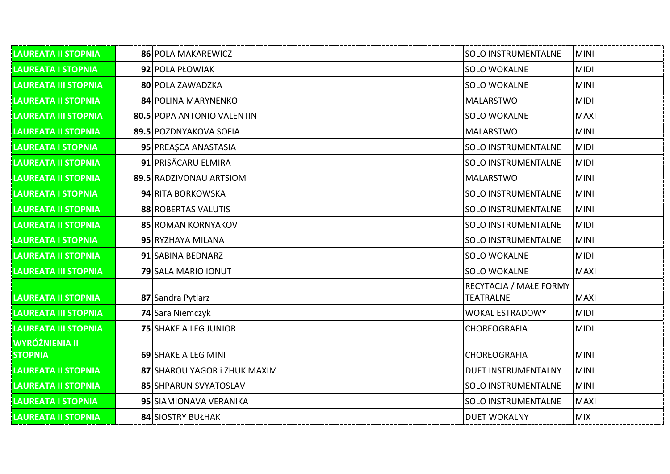| <b>LAUREATA II STOPNIA</b>              | 86 POLA MAKAREWICZ           | <b>SOLO INSTRUMENTALNE</b>                 | <b>MINI</b> |
|-----------------------------------------|------------------------------|--------------------------------------------|-------------|
| <b>LAUREATA I STOPNIA</b>               | 92 POLA PŁOWIAK              | <b>SOLO WOKALNE</b>                        | <b>MIDI</b> |
| <b>LAUREATA III STOPNIA</b>             | 80 POLA ZAWADZKA             | <b>SOLO WOKALNE</b>                        | <b>MINI</b> |
| <b>LAUREATA II STOPNIA</b>              | 84 POLINA MARYNENKO          | <b>MALARSTWO</b>                           | <b>MIDI</b> |
| <b>LAUREATA III STOPNIA</b>             | 80.5 POPA ANTONIO VALENTIN   | <b>SOLO WOKALNE</b>                        | <b>MAXI</b> |
| LAUREATA II STOPNIA                     | 89.5 POZDNYAKOVA SOFIA       | <b>MALARSTWO</b>                           | <b>MINI</b> |
| <b>LAUREATA I STOPNIA</b>               | 95 PREAȘCA ANASTASIA         | <b>SOLO INSTRUMENTALNE</b>                 | <b>MIDI</b> |
| <b>LAUREATA II STOPNIA</b>              | 91 PRISĂCARU ELMIRA          | <b>SOLO INSTRUMENTALNE</b>                 | <b>MIDI</b> |
| <b>LAUREATA II STOPNIA</b>              | 89.5 RADZIVONAU ARTSIOM      | <b>MALARSTWO</b>                           | <b>MINI</b> |
| LAUREATA I STOPNIA                      | 94 RITA BORKOWSKA            | <b>SOLO INSTRUMENTALNE</b>                 | <b>MINI</b> |
| <b>LAUREATA II STOPNIA</b>              | 88 ROBERTAS VALUTIS          | <b>SOLO INSTRUMENTALNE</b>                 | <b>MINI</b> |
| <b>LAUREATA II STOPNIA</b>              | <b>85 ROMAN KORNYAKOV</b>    | <b>SOLO INSTRUMENTALNE</b>                 | <b>MIDI</b> |
| <b>LAUREATA I STOPNIA</b>               | 95 RYZHAYA MILANA            | <b>SOLO INSTRUMENTALNE</b>                 | <b>MINI</b> |
| <b>LAUREATA II STOPNIA</b>              | 91 SABINA BEDNARZ            | <b>SOLO WOKALNE</b>                        | <b>MIDI</b> |
| <b>LAUREATA III STOPNIA</b>             | 79 SALA MARIO IONUT          | <b>SOLO WOKALNE</b>                        | <b>MAXI</b> |
| LAUREATA II STOPNIA                     | 87 Sandra Pytlarz            | RECYTACJA / MAŁE FORMY<br><b>TEATRALNE</b> | <b>MAXI</b> |
| <b>LAUREATA III STOPNIA</b>             | 74 Sara Niemczyk             | <b>WOKAL ESTRADOWY</b>                     | <b>MIDI</b> |
| <b>LAUREATA III STOPNIA</b>             | <b>75 SHAKE A LEG JUNIOR</b> | CHOREOGRAFIA                               | <b>MIDI</b> |
| <b>WYRÓŻNIENIA II</b><br><b>STOPNIA</b> | 69 SHAKE A LEG MINI          | <b>CHOREOGRAFIA</b>                        | <b>MINI</b> |
| <b>LAUREATA II STOPNIA</b>              | 87 SHAROU YAGOR i ZHUK MAXIM | <b>DUET INSTRUMENTALNY</b>                 | <b>MINI</b> |
| LAUREATA II STOPNIA                     | 85 SHPARUN SVYATOSLAV        | <b>SOLO INSTRUMENTALNE</b>                 | <b>MINI</b> |
| <b>LAUREATA I STOPNIA</b>               | 95 SIAMIONAVA VERANIKA       | <b>SOLO INSTRUMENTALNE</b>                 | <b>MAXI</b> |
| <b>LAUREATA II STOPNIA</b>              | 84 SIOSTRY BUŁHAK            | <b>DUET WOKALNY</b>                        | <b>MIX</b>  |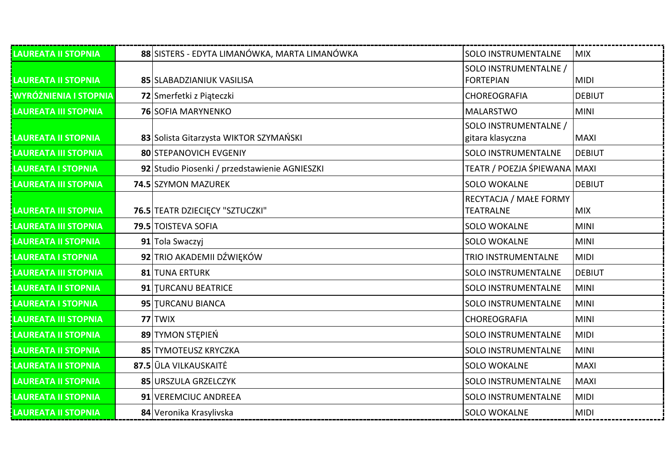| <b>LAUREATA II STOPNIA</b>   | 88 SISTERS - EDYTA LIMANÓWKA, MARTA LIMANÓWKA | SOLO INSTRUMENTALNE                        | <b>MIX</b>    |
|------------------------------|-----------------------------------------------|--------------------------------------------|---------------|
| LAUREATA II STOPNIA          | 85 SLABADZIANIUK VASILISA                     | SOLO INSTRUMENTALNE /<br><b>FORTEPIAN</b>  | <b>MIDI</b>   |
| <b>WYRÓŻNIENIA I STOPNIA</b> | 72 Smerfetki z Piąteczki                      | CHOREOGRAFIA                               | <b>DEBIUT</b> |
| LAUREATA III STOPNIA         | <b>76 SOFIA MARYNENKO</b>                     | <b>MALARSTWO</b>                           | <b>MINI</b>   |
| <b>LAUREATA II STOPNIA</b>   | 83 Solista Gitarzysta WIKTOR SZYMAŃSKI        | SOLO INSTRUMENTALNE /<br>gitara klasyczna  | <b>MAXI</b>   |
| <b>LAUREATA III STOPNIA</b>  | 80 STEPANOVICH EVGENIY                        | SOLO INSTRUMENTALNE                        | DEBIUT        |
| LAUREATA I STOPNIA           | 92 Studio Piosenki / przedstawienie AGNIESZKI | TEATR / POEZJA ŚPIEWANA MAXI               |               |
| <b>LAUREATA III STOPNIA</b>  | 74.5 SZYMON MAZUREK                           | <b>SOLO WOKALNE</b>                        | <b>DEBIUT</b> |
| LAUREATA III STOPNIA         | 76.5 TEATR DZIECIĘCY "SZTUCZKI"               | RECYTACJA / MAŁE FORMY<br><b>TEATRALNE</b> | <b>MIX</b>    |
| <b>LAUREATA III STOPNIA</b>  | 79.5 TOISTEVA SOFIA                           | <b>SOLO WOKALNE</b>                        | <b>MINI</b>   |
| <b>LAUREATA II STOPNIA</b>   | 91 Tola Swaczyj                               | <b>SOLO WOKALNE</b>                        | MINI          |
| <b>LAUREATA I STOPNIA</b>    | 92 TRIO AKADEMII DŹWIĘKÓW                     | TRIO INSTRUMENTALNE                        | MIDI          |
| <b>LAUREATA III STOPNIA</b>  | 81 TUNA ERTURK                                | <b>SOLO INSTRUMENTALNE</b>                 | <b>DEBIUT</b> |
| <b>LAUREATA II STOPNIA</b>   | 91 TURCANU BEATRICE                           | <b>SOLO INSTRUMENTALNE</b>                 | MINI          |
| <b>LAUREATA I STOPNIA</b>    | 95 TURCANU BIANCA                             | <b>SOLO INSTRUMENTALNE</b>                 | MINI          |
| LAUREATA III STOPNIA         | 77 TWIX                                       | CHOREOGRAFIA                               | <b>MINI</b>   |
| LAUREATA II STOPNIA          | 89 TYMON STEPIEN                              | <b>SOLO INSTRUMENTALNE</b>                 | MIDI          |
| LAUREATA II STOPNIA          | 85 TYMOTEUSZ KRYCZKA                          | <b>SOLO INSTRUMENTALNE</b>                 | <b>MINI</b>   |
| LAUREATA II STOPNIA          | 87.5 ULA VILKAUSKAITĖ                         | <b>SOLO WOKALNE</b>                        | <b>MAXI</b>   |
| LAUREATA II STOPNIA          | 85 URSZULA GRZELCZYK                          | <b>SOLO INSTRUMENTALNE</b>                 | <b>MAXI</b>   |
| LAUREATA II STOPNIA          | 91 VEREMCIUC ANDREEA                          | <b>SOLO INSTRUMENTALNE</b>                 | <b>MIDI</b>   |
| <b>LAUREATA II STOPNIA</b>   | 84 Veronika Krasylivska                       | <b>SOLO WOKALNE</b>                        | <b>MIDI</b>   |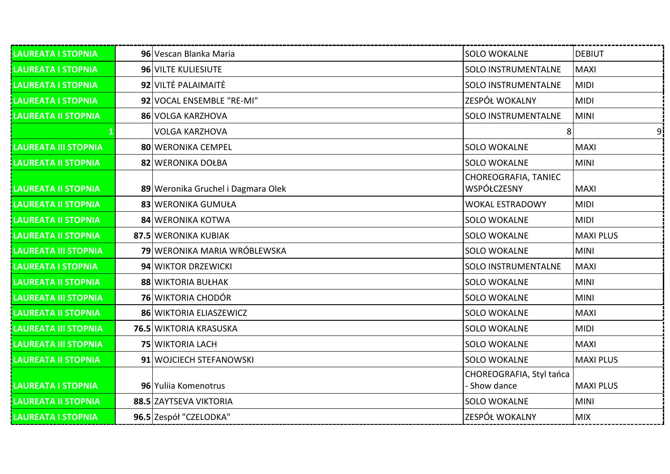| <b>LAUREATA I STOPNIA</b>   | 96 Vescan Blanka Maria              | <b>SOLO WOKALNE</b>                 | <b>DEBIUT</b>    |
|-----------------------------|-------------------------------------|-------------------------------------|------------------|
| <b>LAUREATA I STOPNIA</b>   | 96 VILTE KULIESIUTE                 | <b>SOLO INSTRUMENTALNE</b>          | <b>MAXI</b>      |
| <b>LAUREATA I STOPNIA</b>   | 92 VILTE PALAIMAITE                 | <b>SOLO INSTRUMENTALNE</b>          | <b>MIDI</b>      |
| <b>LAUREATA I STOPNIA</b>   | 92 VOCAL ENSEMBLE "RE-MI"           | <b>ZESPÓŁ WOKALNY</b>               | <b>MIDI</b>      |
| <b>LAUREATA II STOPNIA</b>  | 86 VOLGA KARZHOVA                   | <b>SOLO INSTRUMENTALNE</b>          | <b>MINI</b>      |
|                             | <b>VOLGA KARZHOVA</b>               | 8                                   | 9i               |
| LAUREATA III STOPNIA        | 80 WERONIKA CEMPEL                  | <b>SOLO WOKALNE</b>                 | <b>MAXI</b>      |
| <b>LAUREATA II STOPNIA</b>  | 82 WERONIKA DOŁBA                   | <b>SOLO WOKALNE</b>                 | <b>MINI</b>      |
| <b>LAUREATA II STOPNIA</b>  | 89 Weronika Gruchel i Dagmara Olek  | CHOREOGRAFIA, TANIEC<br>WSPÓŁCZESNY | <b>MAXI</b>      |
| <b>LAUREATA II STOPNIA</b>  | 83 WERONIKA GUMUŁA                  | <b>WOKAL ESTRADOWY</b>              | <b>MIDI</b>      |
| LAUREATA II STOPNIA         | 84 WERONIKA KOTWA                   | <b>SOLO WOKALNE</b>                 | <b>MIDI</b>      |
| <b>LAUREATA II STOPNIA</b>  | 87.5 WERONIKA KUBIAK                | <b>SOLO WOKALNE</b>                 | <b>MAXI PLUS</b> |
| <b>LAUREATA III STOPNIA</b> | <b>79</b> WERONIKA MARIA WRÓBLEWSKA | <b>SOLO WOKALNE</b>                 | <b>MINI</b>      |
| <b>LAUREATA I STOPNIA</b>   | 94 WIKTOR DRZEWICKI                 | <b>SOLO INSTRUMENTALNE</b>          | <b>MAXI</b>      |
| <b>LAUREATA II STOPNIA</b>  | 88 WIKTORIA BUŁHAK                  | <b>SOLO WOKALNE</b>                 | <b>MINI</b>      |
| <b>LAUREATA III STOPNIA</b> | <b>76 WIKTORIA CHODÓR</b>           | <b>SOLO WOKALNE</b>                 | <b>MINI</b>      |
| <b>LAUREATA II STOPNIA</b>  | 86 WIKTORIA ELIASZEWICZ             | <b>SOLO WOKALNE</b>                 | <b>MAXI</b>      |
| <b>LAUREATA III STOPNIA</b> | <b>76.5 WIKTORIA KRASUSKA</b>       | <b>SOLO WOKALNE</b>                 | <b>MIDI</b>      |
| <b>LAUREATA III STOPNIA</b> | <b>75 WIKTORIA LACH</b>             | <b>SOLO WOKALNE</b>                 | <b>MAXI</b>      |
| <b>LAUREATA II STOPNIA</b>  | 91 WOJCIECH STEFANOWSKI             | <b>SOLO WOKALNE</b>                 | <b>MAXI PLUS</b> |
|                             |                                     | CHOREOGRAFIA, Styl tańca            |                  |
| <b>LAUREATA I STOPNIA</b>   | 96 Yulija Komenotrus                | Show dance                          | <b>MAXI PLUS</b> |
| <b>LAUREATA II STOPNIA</b>  | 88.5 ZAYTSEVA VIKTORIA              | <b>SOLO WOKALNE</b>                 | <b>MINI</b>      |
| <b>LAUREATA I STOPNIA</b>   | 96.5 Zespół "CZELODKA"              | ZESPÓŁ WOKALNY                      | <b>MIX</b>       |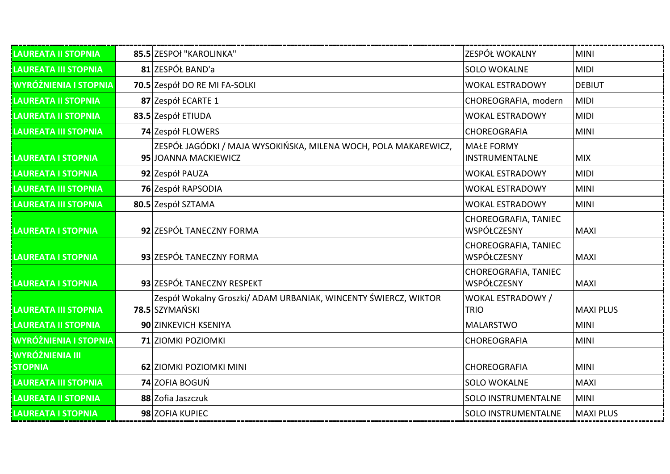| <b>LAUREATA II STOPNIA</b>               | 85.5 ZESPOł "KAROLINKA"                                                                 | ZESPÓŁ WOKALNY                          | <b>MINI</b>      |
|------------------------------------------|-----------------------------------------------------------------------------------------|-----------------------------------------|------------------|
| <b>LAUREATA III STOPNIA</b>              | 81 ZESPÓŁ BAND'a                                                                        | <b>SOLO WOKALNE</b>                     | <b>MIDI</b>      |
| WYRÓŻNIENIA I STOPNIA                    | 70.5 Zespół DO RE MI FA-SOLKI                                                           | <b>WOKAL ESTRADOWY</b>                  | <b>DEBIUT</b>    |
| <b>LAUREATA II STOPNIA</b>               | 87 Zespół ECARTE 1                                                                      | CHOREOGRAFIA, modern                    | <b>MIDI</b>      |
| <b>LAUREATA II STOPNIA</b>               | 83.5 Zespół ETIUDA                                                                      | <b>WOKAL ESTRADOWY</b>                  | <b>MIDI</b>      |
| <b>LAUREATA III STOPNIA</b>              | 74 Zespół FLOWERS                                                                       | CHOREOGRAFIA                            | <b>MINI</b>      |
| <b>LAUREATA I STOPNIA</b>                | ZESPÓŁ JAGÓDKI / MAJA WYSOKIŃSKA, MILENA WOCH, POLA MAKAREWICZ,<br>95 JOANNA MACKIEWICZ | <b>MAŁE FORMY</b><br>INSTRUMENTALNE     | <b>MIX</b>       |
| <b>LAUREATA I STOPNIA</b>                | 92 Zespół PAUZA                                                                         | <b>WOKAL ESTRADOWY</b>                  | <b>MIDI</b>      |
| <b>LAUREATA III STOPNIA</b>              | 76 Zespół RAPSODIA                                                                      | <b>WOKAL ESTRADOWY</b>                  | <b>MINI</b>      |
| <b>LAUREATA III STOPNIA</b>              | 80.5 Zespół SZTAMA                                                                      | <b>WOKAL ESTRADOWY</b>                  | <b>MINI</b>      |
| <b>LAUREATA I STOPNIA</b>                | 92 ZESPÓŁ TANECZNY FORMA                                                                | CHOREOGRAFIA, TANIEC<br>WSPÓŁCZESNY     | <b>MAXI</b>      |
| <b>LAUREATA I STOPNIA</b>                | 93 ZESPÓŁ TANECZNY FORMA                                                                | CHOREOGRAFIA, TANIEC<br>WSPÓŁCZESNY     | <b>MAXI</b>      |
| <b>LAUREATA I STOPNIA</b>                | 93 ZESPÓŁ TANECZNY RESPEKT                                                              | CHOREOGRAFIA, TANIEC<br>WSPÓŁCZESNY     | <b>MAXI</b>      |
| <b>LAUREATA III STOPNIA</b>              | Zespół Wokalny Groszki/ ADAM URBANIAK, WINCENTY ŚWIERCZ, WIKTOR<br>78.5 SZYMAŃSKI       | <b>WOKAL ESTRADOWY /</b><br><b>TRIO</b> | <b>MAXI PLUS</b> |
| <b>LAUREATA II STOPNIA</b>               | 90 ZINKEVICH KSENIYA                                                                    | <b>MALARSTWO</b>                        | <b>MINI</b>      |
| <b>WYRÓŻNIENIA I STOPNIA</b>             | 71 ZIOMKI POZIOMKI                                                                      | CHOREOGRAFIA                            | <b>MINI</b>      |
| <b>WYRÓŻNIENIA III</b><br><b>STOPNIA</b> | 62 ZIOMKI POZIOMKI MINI                                                                 | CHOREOGRAFIA                            | <b>MINI</b>      |
| LAUREATA III STOPNIA                     | 74 ZOFIA BOGUŃ                                                                          | <b>SOLO WOKALNE</b>                     | <b>MAXI</b>      |
| <b>LAUREATA II STOPNIA</b>               | 88 Zofia Jaszczuk                                                                       | <b>SOLO INSTRUMENTALNE</b>              | <b>MINI</b>      |
| <b>LAUREATA I STOPNIA</b>                | 98 ZOFIA KUPIEC                                                                         | <b>SOLO INSTRUMENTALNE</b>              | <b>MAXI PLUS</b> |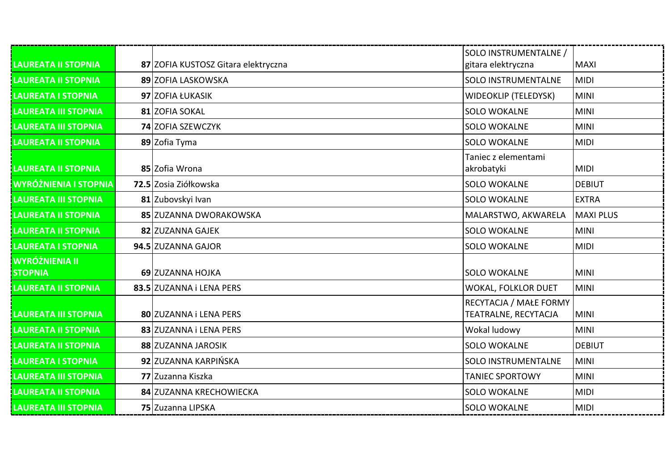| <b>LAUREATA II STOPNIA</b>       | 87 ZOFIA KUSTOSZ Gitara elektryczna | SOLO INSTRUMENTALNE /<br>gitara elektryczna    | <b>MAXI</b>      |
|----------------------------------|-------------------------------------|------------------------------------------------|------------------|
| <b>LAUREATA II STOPNIA</b>       | 89 ZOFIA LASKOWSKA                  | <b>SOLO INSTRUMENTALNE</b>                     | <b>MIDI</b>      |
| <b>LAUREATA I STOPNIA</b>        | 97 ZOFIA ŁUKASIK                    | <b>WIDEOKLIP (TELEDYSK)</b>                    | <b>MINI</b>      |
| <b>LAUREATA III STOPNIA</b>      | 81 ZOFIA SOKAL                      | <b>SOLO WOKALNE</b>                            | <b>MINI</b>      |
| <b>LAUREATA III STOPNIA</b>      | <b>74 ZOFIA SZEWCZYK</b>            | <b>SOLO WOKALNE</b>                            | <b>MINI</b>      |
| <b>LAUREATA II STOPNIA</b>       | 89 Zofia Tyma                       | <b>SOLO WOKALNE</b>                            | <b>MIDI</b>      |
| <b>LAUREATA II STOPNIA</b>       | 85 Zofia Wrona                      | Taniec z elementami<br>akrobatyki              | <b>MIDI</b>      |
| <b>WYRÓŻNIENIA I STOPNIA</b>     | 72.5 Zosia Ziółkowska               | <b>SOLO WOKALNE</b>                            | <b>DEBIUT</b>    |
| <b>LAUREATA III STOPNIA</b>      | 81 Zubovskyi Ivan                   | <b>SOLO WOKALNE</b>                            | <b>EXTRA</b>     |
| <b>LAUREATA II STOPNIA</b>       | 85 ZUZANNA DWORAKOWSKA              | MALARSTWO, AKWARELA                            | <b>MAXI PLUS</b> |
| <b>LAUREATA II STOPNIA</b>       | 82 ZUZANNA GAJEK                    | <b>SOLO WOKALNE</b>                            | <b>MINI</b>      |
| <b>LAUREATA I STOPNIA</b>        | 94.5 ZUZANNA GAJOR                  | <b>SOLO WOKALNE</b>                            | <b>MIDI</b>      |
| WYRÓŻNIENIA II<br><b>STOPNIA</b> | 69 ZUZANNA HOJKA                    | <b>SOLO WOKALNE</b>                            | <b>MINI</b>      |
| <b>LAUREATA II STOPNIA</b>       | 83.5 ZUZANNA i LENA PERS            | <b>WOKAL, FOLKLOR DUET</b>                     | <b>MINI</b>      |
| <b>LAUREATA III STOPNIA</b>      | 80 ZUZANNA i LENA PERS              | RECYTACJA / MAŁE FORMY<br>TEATRALNE, RECYTACJA | <b>MINI</b>      |
| <b>LAUREATA II STOPNIA</b>       | 83 ZUZANNA i LENA PERS              | Wokal ludowy                                   | <b>MINI</b>      |
| <b>LAUREATA II STOPNIA</b>       | 88 ZUZANNA JAROSIK                  | <b>SOLO WOKALNE</b>                            | <b>DEBIUT</b>    |
| <b>LAUREATA I STOPNIA</b>        | 92 ZUZANNA KARPIŃSKA                | SOLO INSTRUMENTALNE                            | <b>MINI</b>      |
| <b>LAUREATA III STOPNIA</b>      | 77 Zuzanna Kiszka                   | <b>TANIEC SPORTOWY</b>                         | <b>MINI</b>      |
| <b>LAUREATA II STOPNIA</b>       | 84 ZUZANNA KRECHOWIECKA             | <b>SOLO WOKALNE</b>                            | <b>MIDI</b>      |
| <b>LAUREATA III STOPNIA</b>      | 75 Zuzanna LIPSKA                   | <b>SOLO WOKALNE</b>                            | <b>MIDI</b>      |